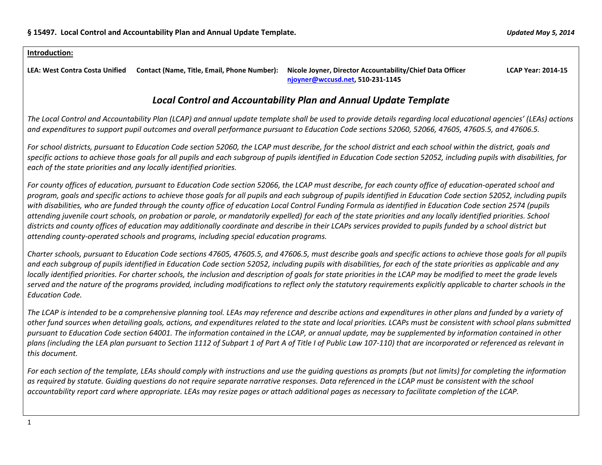#### **Introduction:**

**LEA: West Contra Costa Unified Contact (Name, Title, Email, Phone Number): Nicole Joyner, Director Accountability/Chief Data Officer LCAP Year: 2014-15 [njoyner@wccusd.net,](mailto:njoyner@wccusd.net) 510-231-1145**

# *Local Control and Accountability Plan and Annual Update Template*

*The Local Control and Accountability Plan (LCAP) and annual update template shall be used to provide details regarding local educational agencies' (LEAs) actions and expenditures to support pupil outcomes and overall performance pursuant to Education Code sections 52060, 52066, 47605, 47605.5, and 47606.5.* 

*For school districts, pursuant to Education Code section 52060, the LCAP must describe, for the school district and each school within the district, goals and specific actions to achieve those goals for all pupils and each subgroup of pupils identified in Education Code section 52052, including pupils with disabilities, for each of the state priorities and any locally identified priorities.*

*For county offices of education, pursuant to Education Code section 52066, the LCAP must describe, for each county office of education-operated school and program, goals and specific actions to achieve those goals for all pupils and each subgroup of pupils identified in Education Code section 52052, including pupils with disabilities, who are funded through the county office of education Local Control Funding Formula as identified in Education Code section 2574 (pupils attending juvenile court schools, on probation or parole, or mandatorily expelled) for each of the state priorities and any locally identified priorities. School districts and county offices of education may additionally coordinate and describe in their LCAPs services provided to pupils funded by a school district but attending county-operated schools and programs, including special education programs.*

*Charter schools, pursuant to Education Code sections 47605, 47605.5, and 47606.5, must describe goals and specific actions to achieve those goals for all pupils and each subgroup of pupils identified in Education Code section 52052, including pupils with disabilities, for each of the state priorities as applicable and any locally identified priorities. For charter schools, the inclusion and description of goals for state priorities in the LCAP may be modified to meet the grade levels served and the nature of the programs provided, including modifications to reflect only the statutory requirements explicitly applicable to charter schools in the Education Code.*

*The LCAP is intended to be a comprehensive planning tool. LEAs may reference and describe actions and expenditures in other plans and funded by a variety of other fund sources when detailing goals, actions, and expenditures related to the state and local priorities. LCAPs must be consistent with school plans submitted pursuant to Education Code section 64001. The information contained in the LCAP, or annual update, may be supplemented by information contained in other plans (including the LEA plan pursuant to Section 1112 of Subpart 1 of Part A of Title I of Public Law 107-110) that are incorporated or referenced as relevant in this document.* 

*For each section of the template, LEAs should comply with instructions and use the guiding questions as prompts (but not limits) for completing the information as required by statute. Guiding questions do not require separate narrative responses. Data referenced in the LCAP must be consistent with the school accountability report card where appropriate. LEAs may resize pages or attach additional pages as necessary to facilitate completion of the LCAP.*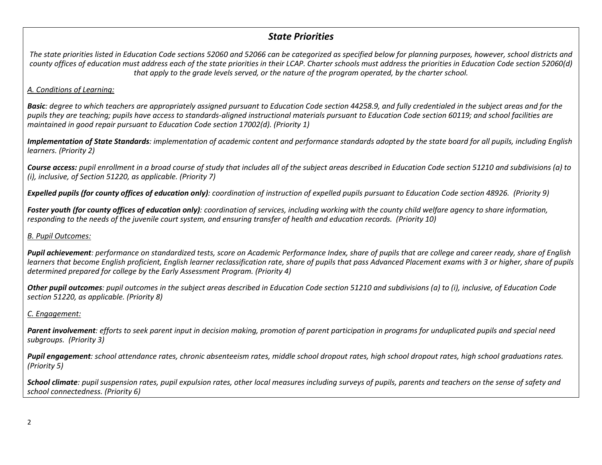# *State Priorities*

*The state priorities listed in Education Code sections 52060 and 52066 can be categorized as specified below for planning purposes, however, school districts and county offices of education must address each of the state priorities in their LCAP. Charter schools must address the priorities in Education Code section 52060(d) that apply to the grade levels served, or the nature of the program operated, by the charter school.*

### *A. Conditions of Learning:*

*Basic: degree to which teachers are appropriately assigned pursuant to Education Code section 44258.9, and fully credentialed in the subject areas and for the pupils they are teaching; pupils have access to standards-aligned instructional materials pursuant to Education Code section 60119; and school facilities are maintained in good repair pursuant to Education Code section 17002(d). (Priority 1)*

*Implementation of State Standards: implementation of academic content and performance standards adopted by the state board for all pupils, including English learners. (Priority 2)*

*Course access: pupil enrollment in a broad course of study that includes all of the subject areas described in Education Code section 51210 and subdivisions (a) to (i), inclusive, of Section 51220, as applicable. (Priority 7)*

*Expelled pupils (for county offices of education only): coordination of instruction of expelled pupils pursuant to Education Code section 48926. (Priority 9)*

*Foster youth (for county offices of education only): coordination of services, including working with the county child welfare agency to share information, responding to the needs of the juvenile court system, and ensuring transfer of health and education records. (Priority 10)*

### *B. Pupil Outcomes:*

*Pupil achievement: performance on standardized tests, score on Academic Performance Index, share of pupils that are college and career ready, share of English learners that become English proficient, English learner reclassification rate, share of pupils that pass Advanced Placement exams with 3 or higher, share of pupils determined prepared for college by the Early Assessment Program. (Priority 4)*

*Other pupil outcomes: pupil outcomes in the subject areas described in Education Code section 51210 and subdivisions (a) to (i), inclusive, of Education Code section 51220, as applicable. (Priority 8)* 

## *C. Engagement:*

*Parent involvement: efforts to seek parent input in decision making, promotion of parent participation in programs for unduplicated pupils and special need subgroups. (Priority 3)*

*Pupil engagement: school attendance rates, chronic absenteeism rates, middle school dropout rates, high school dropout rates, high school graduations rates. (Priority 5)*

*School climate: pupil suspension rates, pupil expulsion rates, other local measures including surveys of pupils, parents and teachers on the sense of safety and school connectedness. (Priority 6)*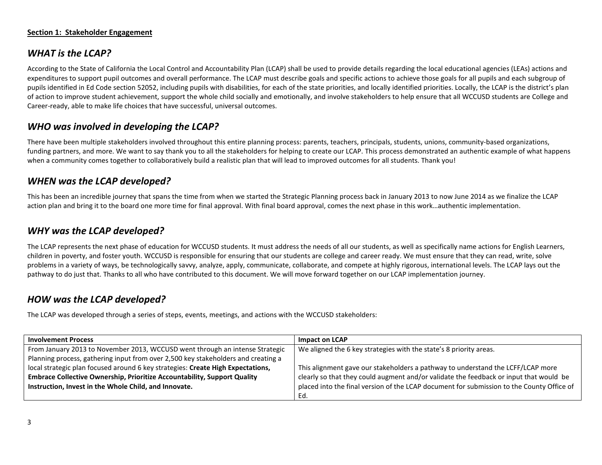#### **Section 1: Stakeholder Engagement**

# *WHAT is the LCAP?*

According to the State of California the Local Control and Accountability Plan (LCAP) shall be used to provide details regarding the local educational agencies (LEAs) actions and expenditures to support pupil outcomes and overall performance. The LCAP must describe goals and specific actions to achieve those goals for all pupils and each subgroup of pupils identified in Ed Code section 52052, including pupils with disabilities, for each of the state priorities, and locally identified priorities. Locally, the LCAP is the district's plan of action to improve student achievement, support the whole child socially and emotionally, and involve stakeholders to help ensure that all WCCUSD students are College and Career-ready, able to make life choices that have successful, universal outcomes.

# *WHO was involved in developing the LCAP?*

There have been multiple stakeholders involved throughout this entire planning process: parents, teachers, principals, students, unions, community-based organizations, funding partners, and more. We want to say thank you to all the stakeholders for helping to create our LCAP. This process demonstrated an authentic example of what happens when a community comes together to collaboratively build a realistic plan that will lead to improved outcomes for all students. Thank you!

# *WHEN was the LCAP developed?*

This has been an incredible journey that spans the time from when we started the Strategic Planning process back in January 2013 to now June 2014 as we finalize the LCAP action plan and bring it to the board one more time for final approval. With final board approval, comes the next phase in this work…authentic implementation.

## *WHY was the LCAP developed?*

The LCAP represents the next phase of education for WCCUSD students. It must address the needs of all our students, as well as specifically name actions for English Learners, children in poverty, and foster youth. WCCUSD is responsible for ensuring that our students are college and career ready. We must ensure that they can read, write, solve problems in a variety of ways, be technologically savvy, analyze, apply, communicate, collaborate, and compete at highly rigorous, international levels. The LCAP lays out the pathway to do just that. Thanks to all who have contributed to this document. We will move forward together on our LCAP implementation journey.

# *HOW was the LCAP developed?*

The LCAP was developed through a series of steps, events, meetings, and actions with the WCCUSD stakeholders:

| <b>Involvement Process</b>                                                        | Impact on LCAP                                                                            |  |  |  |  |
|-----------------------------------------------------------------------------------|-------------------------------------------------------------------------------------------|--|--|--|--|
| From January 2013 to November 2013, WCCUSD went through an intense Strategic      | We aligned the 6 key strategies with the state's 8 priority areas.                        |  |  |  |  |
| Planning process, gathering input from over 2,500 key stakeholders and creating a |                                                                                           |  |  |  |  |
| local strategic plan focused around 6 key strategies: Create High Expectations,   | This alignment gave our stakeholders a pathway to understand the LCFF/LCAP more           |  |  |  |  |
| <b>Embrace Collective Ownership, Prioritize Accountability, Support Quality</b>   | clearly so that they could augment and/or validate the feedback or input that would be    |  |  |  |  |
| Instruction, Invest in the Whole Child, and Innovate.                             | placed into the final version of the LCAP document for submission to the County Office of |  |  |  |  |
|                                                                                   | Ed.                                                                                       |  |  |  |  |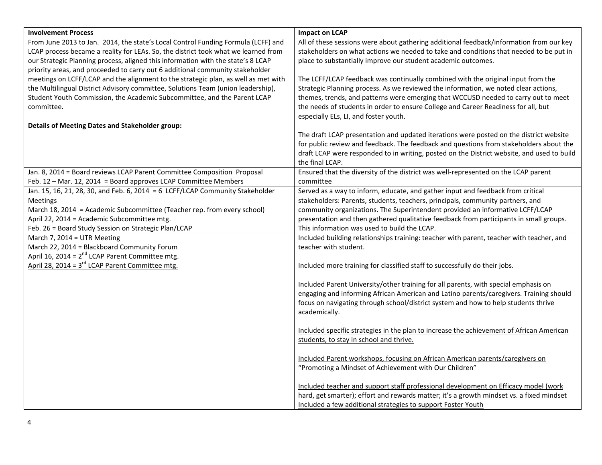| <b>Involvement Process</b>                                                                          | <b>Impact on LCAP</b>                                                                                                                  |
|-----------------------------------------------------------------------------------------------------|----------------------------------------------------------------------------------------------------------------------------------------|
| From June 2013 to Jan. 2014, the state's Local Control Funding Formula (LCFF) and                   | All of these sessions were about gathering additional feedback/information from our key                                                |
| LCAP process became a reality for LEAs. So, the district took what we learned from                  | stakeholders on what actions we needed to take and conditions that needed to be put in                                                 |
| our Strategic Planning process, aligned this information with the state's 8 LCAP                    | place to substantially improve our student academic outcomes.                                                                          |
| priority areas, and proceeded to carry out 6 additional community stakeholder                       |                                                                                                                                        |
| meetings on LCFF/LCAP and the alignment to the strategic plan, as well as met with                  | The LCFF/LCAP feedback was continually combined with the original input from the                                                       |
| the Multilingual District Advisory committee, Solutions Team (union leadership),                    | Strategic Planning process. As we reviewed the information, we noted clear actions,                                                    |
| Student Youth Commission, the Academic Subcommittee, and the Parent LCAP                            | themes, trends, and patterns were emerging that WCCUSD needed to carry out to meet                                                     |
| committee.                                                                                          | the needs of students in order to ensure College and Career Readiness for all, but                                                     |
|                                                                                                     | especially ELs, LI, and foster youth.                                                                                                  |
| <b>Details of Meeting Dates and Stakeholder group:</b>                                              |                                                                                                                                        |
|                                                                                                     | The draft LCAP presentation and updated iterations were posted on the district website                                                 |
|                                                                                                     | for public review and feedback. The feedback and questions from stakeholders about the                                                 |
|                                                                                                     | draft LCAP were responded to in writing, posted on the District website, and used to build                                             |
|                                                                                                     | the final LCAP.                                                                                                                        |
| Jan. 8, 2014 = Board reviews LCAP Parent Committee Composition Proposal                             | Ensured that the diversity of the district was well-represented on the LCAP parent                                                     |
| Feb. 12 - Mar. 12, 2014 = Board approves LCAP Committee Members                                     | committee                                                                                                                              |
| Jan. 15, 16, 21, 28, 30, and Feb. 6, 2014 = 6 LCFF/LCAP Community Stakeholder                       | Served as a way to inform, educate, and gather input and feedback from critical                                                        |
| <b>Meetings</b>                                                                                     | stakeholders: Parents, students, teachers, principals, community partners, and                                                         |
| March 18, 2014 = Academic Subcommittee (Teacher rep. from every school)                             | community organizations. The Superintendent provided an informative LCFF/LCAP                                                          |
| April 22, 2014 = Academic Subcommittee mtg.<br>Feb. 26 = Board Study Session on Strategic Plan/LCAP | presentation and then gathered qualitative feedback from participants in small groups.<br>This information was used to build the LCAP. |
| March 7, 2014 = UTR Meeting                                                                         | Included building relationships training: teacher with parent, teacher with teacher, and                                               |
| March 22, 2014 = Blackboard Community Forum                                                         | teacher with student.                                                                                                                  |
| April 16, 2014 = 2 <sup>nd</sup> LCAP Parent Committee mtg.                                         |                                                                                                                                        |
| April 28, 2014 = $3^{rd}$ LCAP Parent Committee mtg.                                                | Included more training for classified staff to successfully do their jobs.                                                             |
|                                                                                                     |                                                                                                                                        |
|                                                                                                     | Included Parent University/other training for all parents, with special emphasis on                                                    |
|                                                                                                     | engaging and informing African American and Latino parents/caregivers. Training should                                                 |
|                                                                                                     | focus on navigating through school/district system and how to help students thrive                                                     |
|                                                                                                     | academically.                                                                                                                          |
|                                                                                                     |                                                                                                                                        |
|                                                                                                     | Included specific strategies in the plan to increase the achievement of African American                                               |
|                                                                                                     | students, to stay in school and thrive.                                                                                                |
|                                                                                                     |                                                                                                                                        |
|                                                                                                     | Included Parent workshops, focusing on African American parents/caregivers on                                                          |
|                                                                                                     | "Promoting a Mindset of Achievement with Our Children"                                                                                 |
|                                                                                                     |                                                                                                                                        |
|                                                                                                     | Included teacher and support staff professional development on Efficacy model (work                                                    |
|                                                                                                     | hard, get smarter); effort and rewards matter; it's a growth mindset vs. a fixed mindset                                               |
|                                                                                                     | Included a few additional strategies to support Foster Youth                                                                           |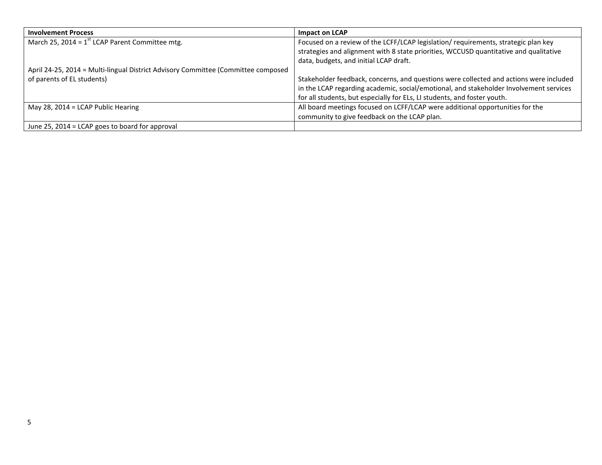| <b>Involvement Process</b>                                                        | Impact on LCAP                                                                         |
|-----------------------------------------------------------------------------------|----------------------------------------------------------------------------------------|
| March 25, 2014 = $1^{st}$ LCAP Parent Committee mtg.                              | Focused on a review of the LCFF/LCAP legislation/ requirements, strategic plan key     |
|                                                                                   | strategies and alignment with 8 state priorities, WCCUSD quantitative and qualitative  |
|                                                                                   | data, budgets, and initial LCAP draft.                                                 |
| April 24-25, 2014 = Multi-lingual District Advisory Committee (Committee composed |                                                                                        |
| of parents of EL students)                                                        | Stakeholder feedback, concerns, and questions were collected and actions were included |
|                                                                                   | in the LCAP regarding academic, social/emotional, and stakeholder Involvement services |
|                                                                                   | for all students, but especially for ELs, LI students, and foster youth.               |
| May 28, 2014 = LCAP Public Hearing                                                | All board meetings focused on LCFF/LCAP were additional opportunities for the          |
|                                                                                   | community to give feedback on the LCAP plan.                                           |
| June 25, 2014 = LCAP goes to board for approval                                   |                                                                                        |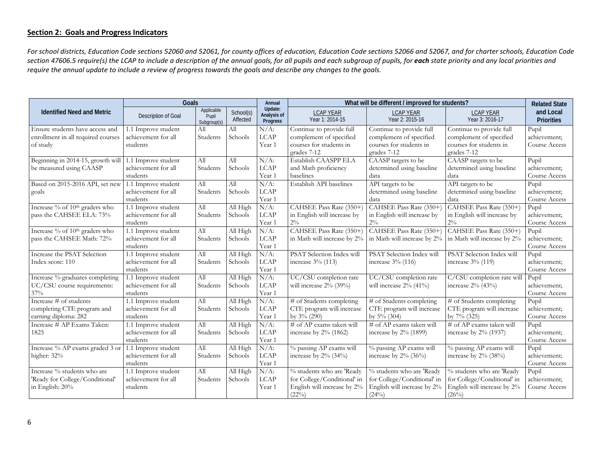### **Section 2: Goals and Progress Indicators**

*For school districts, Education Code sections 52060 and 52061, for county offices of education, Education Code sections 52066 and 52067, and for charter schools, Education Code*  section 47606.5 require(s) the LCAP to include a description of the annual goals, for all pupils and each *subgroup of pupils, for* each state priority and any local priorities and *require the annual update to include a review of progress towards the goals and describe any changes to the goals.*

|                                            | Goals               |                                    |                       | Annual                             |                                      | What will be different / improved for students? |                                      |                                |
|--------------------------------------------|---------------------|------------------------------------|-----------------------|------------------------------------|--------------------------------------|-------------------------------------------------|--------------------------------------|--------------------------------|
| <b>Identified Need and Metric</b>          | Description of Goal | Applicable<br>Pupil<br>Subgroup(s) | School(s)<br>Affected | Update:<br>Analysis of<br>Progress | <b>LCAP YEAR</b><br>Year 1: 2014-15  | <b>LCAP YEAR</b><br>Year 2: 2015-16             | <b>LCAP YEAR</b><br>Year 3: 2016-17  | and Local<br><b>Priorities</b> |
| Ensure students have access and            | 1.1 Improve student | All                                | All                   | $N/A$ :                            | Continue to provide full             | Continue to provide full                        | Continue to provide full             | Pupil                          |
| enrollment in all required courses         | achievement for all | Students                           | Schools               | <b>LCAP</b>                        | complement of specified              | complement of specified                         | complement of specified              | achievement;                   |
| of study                                   | students            |                                    |                       | Year 1                             | courses for students in              | courses for students in                         | courses for students in              | Course Access                  |
|                                            |                     |                                    |                       |                                    | grades 7-12                          | grades 7-12                                     | grades 7-12                          |                                |
| Beginning in 2014-15, growth will          | 1.1 Improve student | All                                | All                   | $N/A$ :                            | Establish CAASPP ELA                 | CAASP targets to be                             | CAASP targets to be                  | Pupil                          |
| be measured using CAASP                    | achievement for all | Students                           | Schools               | LCAP                               | and Math proficiency                 | determined using baseline                       | determined using baseline            | achievement;                   |
|                                            | students            |                                    |                       | Year 1                             | baselines                            | data                                            | data                                 | Course Access                  |
| Based on 2015-2016 API, set new            | 1.1 Improve student | All                                | All                   | $N/A$ :                            | Establish API baselines              | API targets to be                               | API targets to be                    | Pupil                          |
| goals                                      | achievement for all | Students                           | Schools               | <b>LCAP</b>                        |                                      | determined using baseline                       | determined using baseline            | achievement;                   |
|                                            | students            |                                    |                       | Year 1                             |                                      | data                                            | data                                 | Course Access                  |
| Increase % of 10 <sup>th</sup> graders who | 1.1 Improve student | All                                | All High              | $N/A$ :                            | CAHSEE Pass Rate (350+)              | CAHSEE Pass Rate (350+)                         | CAHSEE Pass Rate (350+)              | Pupil                          |
| pass the CAHSEE ELA: 73%                   | achievement for all | Students                           | Schools               | <b>LCAP</b>                        | in English will increase by          | in English will increase by                     | in English will increase by          | achievement;                   |
|                                            | students            |                                    |                       | Year 1                             | $2\%$                                | $2\%$                                           | $2\%$                                | Course Access                  |
| Increase % of 10 <sup>th</sup> graders who | 1.1 Improve student | All                                | All High              | $N/A$ :                            | CAHSEE Pass Rate (350+)              | CAHSEE Pass Rate (350+)                         | CAHSEE Pass Rate (350+)              | Pupil                          |
| pass the CAHSEE Math: 72%                  | achievement for all | Students                           | Schools               | <b>LCAP</b>                        | in Math will increase by 2%          | in Math will increase by 2%                     | in Math will increase by 2%          | achievement:                   |
|                                            | students            |                                    |                       | Year 1                             |                                      |                                                 |                                      | Course Access                  |
| Increase the PSAT Selection                | 1.1 Improve student | All                                | All High              | $N/A$ :                            | PSAT Selection Index will            | PSAT Selection Index will                       | PSAT Selection Index will            | Pupil                          |
| Index score: 110                           | achievement for all | Students                           | Schools               | LCAP                               | increase 3% (113)                    | increase 3% (116)                               | increase 3% (119)                    | achievement;                   |
|                                            | students            |                                    |                       | Year 1                             |                                      |                                                 |                                      | Course Access                  |
| Increase % graduates completing            | 1.1 Improve student | All                                | All High              | $N/A$ :                            | UC/CSU completion rate               | UC/CSU completion rate                          | C/CSU completion rate will           | Pupil                          |
| UC/CSU course requirements:                | achievement for all | Students                           | Schools               | <b>LCAP</b>                        | will increase $2\%$ (39%)            | will increase $2\%$ (41%)                       | increase 2% (43%)                    | achievement;                   |
| 37%                                        | students            |                                    |                       | Year 1                             |                                      |                                                 |                                      | Course Access                  |
| Increase # of students                     | 1.1 Improve student | All                                | All High              | $N/A$ :                            | # of Students completing             | # of Students completing                        | # of Students completing             | Pupil                          |
| completing CTE program and                 | achievement for all | Students                           | Schools               | LCAP                               | CTE program will increase            | CTE program will increase                       | CTE program will increase            | achievement;                   |
| earning diploma: 282                       | students            |                                    |                       | Year 1                             | by $3\%$ (290)                       | by $5\%$ (304)                                  | by 7% (325)                          | Course Access                  |
| Increase # AP Exams Taken:                 | 1.1 Improve student | All                                | All High              | $N/A$ :                            | # of AP exams taken will             | # of AP exams taken will                        | # of AP exams taken will             | Pupil                          |
| 1825                                       | achievement for all | Students                           | Schools               | <b>LCAP</b>                        | increase by 2% (1862)                | increase by $2\%$ (1899)                        | increase by $2\%$ (1937)             | achievement;                   |
|                                            | students            |                                    |                       | Year 1                             |                                      |                                                 |                                      | Course Access                  |
| Increase % AP exams graded 3 or            | 1.1 Improve student | All                                | All High              | $N/A$ :                            | % passing AP exams will              | % passing AP exams will                         | % passing AP exams will              | Pupil                          |
| higher: 32%                                | achievement for all | Students                           | Schools               | LCAP                               | increase by $2\%$ (34%)              | increase by $2\%$ (36%)                         | increase by $2\%$ (38%)              | achievement;                   |
|                                            | students            |                                    |                       | Year 1                             |                                      |                                                 |                                      | Course Access                  |
| Increase % students who are                | 1.1 Improve student | All                                | All High              | $N/A$ :                            | % students who are 'Ready            | % students who are 'Ready                       | % students who are 'Ready            | Pupil                          |
| 'Ready for College/Conditional'            | achievement for all | Students                           | Schools               | <b>LCAP</b>                        | for College/Conditional' in          | for College/Conditional' in                     | for College/Conditional' in          | achievement:                   |
| in English: 20%                            | students            |                                    |                       | Year 1                             | English will increase by 2%<br>(22%) | English will increase by 2%<br>(24%)            | English will increase by 2%<br>(26%) | Course Access                  |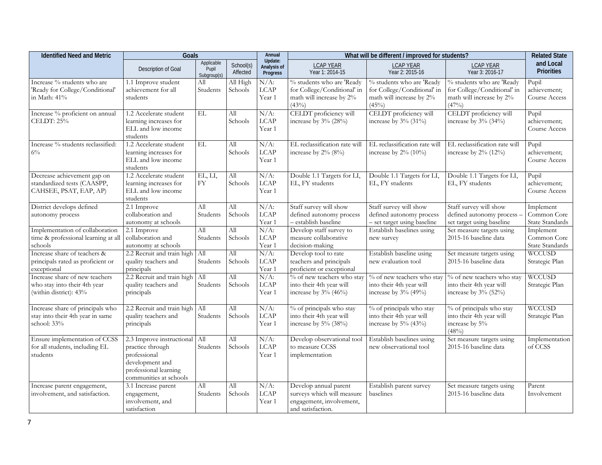| <b>Identified Need and Metric</b>                                                        | Goals                                                                                                                               |                                    |                             | Annual                                    |                                                                                                      | What will be different / improved for students?                                               |                                                                                               | <b>Related State</b>                               |
|------------------------------------------------------------------------------------------|-------------------------------------------------------------------------------------------------------------------------------------|------------------------------------|-----------------------------|-------------------------------------------|------------------------------------------------------------------------------------------------------|-----------------------------------------------------------------------------------------------|-----------------------------------------------------------------------------------------------|----------------------------------------------------|
|                                                                                          | Description of Goal                                                                                                                 | Applicable<br>Pupil<br>Subgroup(s) | School(s)<br>Affected       | Update:<br>Analysis of<br><b>Progress</b> | <b>LCAP YEAR</b><br>Year 1: 2014-15                                                                  | <b>LCAP YEAR</b><br>Year 2: 2015-16                                                           | <b>LCAP YEAR</b><br>Year 3: 2016-17                                                           | and Local<br><b>Priorities</b>                     |
| Increase % students who are<br>'Ready for College/Conditional'<br>in Math: 41%           | 1.1 Improve student<br>achievement for all<br>students                                                                              | All<br>Students                    | All High<br>Schools         | $N/A$ :<br>LCAP<br>Year 1                 | % students who are 'Ready<br>for College/Conditional' in<br>math will increase by 2%<br>(43%)        | % students who are 'Ready<br>for College/Conditional' in<br>math will increase by 2%<br>(45%) | % students who are 'Ready<br>for College/Conditional' in<br>math will increase by 2%<br>(47%) | Pupil<br>achievement;<br>Course Access             |
| Increase % proficient on annual<br>CELDT: 25%                                            | 1.2 Accelerate student<br>learning increases for<br>ELL and low income<br>students                                                  | $\mathbf{EL}$                      | All<br>Schools              | $N/A$ :<br>LCAP<br>Year 1                 | CELDT proficiency will<br>increase by 3% (28%)                                                       | CELDT proficiency will<br>increase by 3% (31%)                                                | CELDT proficiency will<br>increase by 3% (34%)                                                | Pupil<br>achievement;<br>Course Access             |
| Increase % students reclassified:<br>$6\%$                                               | 1.2 Accelerate student<br>learning increases for<br>ELL and low income<br>students                                                  | $\mathbf{EL}$                      | All<br>Schools              | $N/A$ :<br><b>LCAP</b><br>Year 1          | EL reclassification rate will<br>increase by 2% (8%)                                                 | EL reclassification rate will<br>increase by $2\%$ (10%)                                      | EL reclassification rate will<br>increase by 2% (12%)                                         | Pupil<br>achievement;<br>Course Access             |
| Decrease achievement gap on<br>standardized tests (CAASPP,<br>CAHSEE, PSAT, EAP, AP)     | 1.2 Accelerate student<br>learning increases for<br>ELL and low income<br>students                                                  | EL, LI,<br><b>FY</b>               | Аll<br>Schools              | $N/A$ :<br><b>LCAP</b><br>Year 1          | Double 1.1 Targets for LI,<br>EL, FY students                                                        | Double 1.1 Targets for LI,<br>EL, FY students                                                 | Double 1.1 Targets for LI,<br>EL, FY students                                                 | Pupil<br>achievement;<br>Course Access             |
| District develops defined<br>autonomy process                                            | 2.1 Improve<br>collaboration and<br>autonomy at schools                                                                             | All<br>Students                    | All<br>Schools              | $N/A$ :<br>LCAP<br>Year 1                 | Staff survey will show<br>defined autonomy process<br>- establish baseline                           | Staff survey will show<br>defined autonomy process<br>- set target using baseline             | Staff survey will show<br>defined autonomy process -<br>set target using baseline             | Implement<br>Common Core<br>State Standards        |
| Implementation of collaboration<br>time & professional learning at all<br>schools        | 2.1 Improve<br>collaboration and<br>autonomy at schools                                                                             | All<br>Students                    | All<br>Schools              | $N/A$ :<br>LCAP<br>Year 1                 | Develop staff survey to<br>measure collaborative<br>decision-making                                  | Establish baselines using<br>new survey                                                       | Set measure targets using<br>2015-16 baseline data                                            | Implement<br>Common Core<br><b>State Standards</b> |
| Increase share of teachers &<br>principals rated as proficient or<br>exceptional         | 2.2 Recruit and train high<br>quality teachers and<br>principals                                                                    | All<br>Students                    | All<br>Schools              | $N/A$ :<br>LCAP<br>Year 1                 | Develop tool to rate<br>teachers and principals<br>proficient or exceptional                         | Establish baseline using<br>new evaluation tool                                               | Set measure targets using<br>2015-16 baseline data                                            | <b>WCCUSD</b><br>Strategic Plan                    |
| Increase share of new teachers<br>who stay into their 4th year<br>(within district): 43% | 2.2 Recruit and train high<br>quality teachers and<br>principals                                                                    | All<br>Students                    | $\overline{All}$<br>Schools | $N/A$ :<br>LCAP<br>Year 1                 | % of new teachers who stay<br>into their 4th year will<br>increase by 3% (46%)                       | % of new teachers who stay<br>into their 4th year will<br>increase by 3% (49%)                | % of new teachers who stay<br>into their 4th year will<br>increase by $3\%$ (52%)             | <b>WCCUSD</b><br>Strategic Plan                    |
| Increase share of principals who<br>stay into their 4th year in same<br>school: 33%      | 2.2 Recruit and train high<br>quality teachers and<br>principals                                                                    | All<br>Students                    | Аll<br>Schools              | $N/A$ :<br>LCAP<br>Year 1                 | % of principals who stay<br>into their 4th year will<br>increase by 5% (38%)                         | % of principals who stay<br>into their 4th year will<br>increase by 5% (43%)                  | % of principals who stay<br>into their 4th year will<br>increase by 5%<br>(48%)               | WCCUSD<br>Strategic Plan                           |
| Ensure implementation of CCSS<br>for all students, including EL<br>students              | 2.3 Improve instructional<br>practice through<br>professional<br>development and<br>professional learning<br>communities at schools | All<br>Students                    | All<br>Schools              | $N/A$ :<br>LCAP<br>Year 1                 | Develop observational tool<br>to measure CCSS<br>implementation                                      | Establish baselines using<br>new observational tool                                           | Set measure targets using<br>2015-16 baseline data                                            | Implementation<br>of CCSS                          |
| Increase parent engagement,<br>involvement, and satisfaction.                            | 3.1 Increase parent<br>engagement,<br>involvement, and<br>satisfaction                                                              | All<br>Students                    | All<br>Schools              | $N/A$ :<br><b>LCAP</b><br>Year 1          | Develop annual parent<br>surveys which will measure<br>engagement, involvement,<br>and satisfaction. | Establish parent survey<br>baselines                                                          | Set measure targets using<br>2015-16 baseline data                                            | Parent<br>Involvement                              |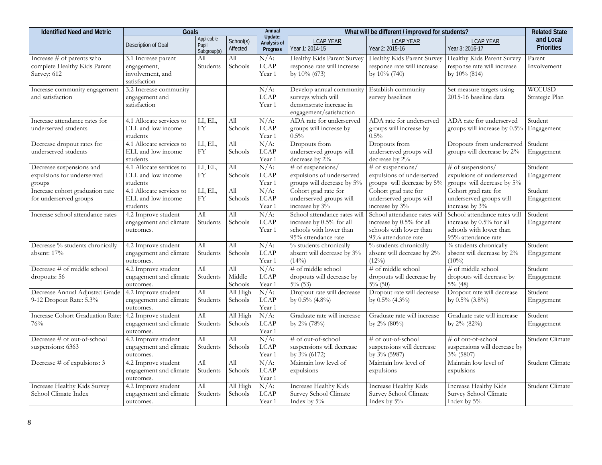| <b>Identified Need and Metric</b>                                        | Goals                                                                  |                                    |                          | Annual                             |                                                                                                            | What will be different / improved for students?                                                            |                                                                                                            | <b>Related State</b>           |
|--------------------------------------------------------------------------|------------------------------------------------------------------------|------------------------------------|--------------------------|------------------------------------|------------------------------------------------------------------------------------------------------------|------------------------------------------------------------------------------------------------------------|------------------------------------------------------------------------------------------------------------|--------------------------------|
|                                                                          | Description of Goal                                                    | Applicable<br>Pupil<br>Subgroup(s) | School(s)<br>Affected    | Update:<br>Analysis of<br>Progress | <b>LCAP YEAR</b><br>Year 1: 2014-15                                                                        | <b>LCAP YEAR</b><br>Year 2: 2015-16                                                                        | <b>LCAP YEAR</b><br>Year 3: 2016-17                                                                        | and Local<br><b>Priorities</b> |
| Increase # of parents who<br>complete Healthy Kids Parent<br>Survey: 612 | 3.1 Increase parent<br>engagement,<br>involvement, and<br>satisfaction | All<br>Students                    | All<br>Schools           | $N/A$ :<br>LCAP<br>Year 1          | Healthy Kids Parent Survey<br>response rate will increase<br>by 10% (673)                                  | Healthy Kids Parent Survey<br>response rate will increase<br>by 10% (740)                                  | Healthy Kids Parent Survey<br>response rate will increase<br>by 10% (814)                                  | Parent<br>Involvement          |
| Increase community engagement<br>and satisfaction                        | 3.2 Increase community<br>engagement and<br>satisfaction               |                                    |                          | $N/A$ :<br>$_{\rm LCAP}$<br>Year 1 | Develop annual community<br>surveys which will<br>demonstrate increase in<br>engagement/satisfaction       | Establish community<br>survey baselines                                                                    | Set measure targets using<br>2015-16 baseline data                                                         | WCCUSD<br>Strategic Plan       |
| Increase attendance rates for<br>underserved students                    | 4.1 Allocate services to<br>ELL and low income<br>students             | LI, EL,<br><b>FY</b>               | All<br>Schools           | $N/A$ :<br><b>LCAP</b><br>Year 1   | ADA rate for underserved<br>groups will increase by<br>$0.5\%$                                             | ADA rate for underserved<br>groups will increase by<br>0.5%                                                | ADA rate for underserved<br>groups will increase by 0.5%                                                   | Student<br>Engagement          |
| Decrease dropout rates for<br>underserved students                       | 4.1 Allocate services to<br>ELL and low income<br>students             | LI, EL,<br>FY                      | All<br>Schools           | $N/A$ :<br>$_{\rm LCAP}$<br>Year 1 | Dropouts from<br>underserved groups will<br>decrease by 2%                                                 | Dropouts from<br>underserved groups will<br>decrease by 2%                                                 | Dropouts from underserved<br>groups will decrease by 2%                                                    | Student<br>Engagement          |
| Decrease suspensions and<br>expulsions for underserved<br>groups         | 4.1 Allocate services to<br>ELL and low income<br>students             | LI, EL,<br><b>FY</b>               | All<br>Schools           | $N/A$ :<br>LCAP<br>Year 1          | # of suspensions/<br>expulsions of underserved<br>groups will decrease by 5%                               | # of suspensions/<br>expulsions of underserved<br>groups will decrease by 5%                               | # of suspensions/<br>expulsions of underserved<br>groups will decrease by 5%                               | Student<br>Engagement          |
| Increase cohort graduation rate<br>for underserved groups                | 4.1 Allocate services to<br>ELL and low income<br>students             | LI, EL,<br>${\rm FY}$              | All<br>Schools           | $N/A$ :<br><b>LCAP</b><br>Year 1   | Cohort grad rate for<br>underserved groups will<br>increase by 3%                                          | Cohort grad rate for<br>underserved groups will<br>increase by 3%                                          | Cohort grad rate for<br>underserved groups will<br>increase by 3%                                          | Student<br>Engagement          |
| Increase school attendance rates                                         | 4.2 Improve student<br>engagement and climate<br>outcomes.             | Аll<br>Students                    | All<br>Schools           | $N/A$ :<br><b>LCAP</b><br>Year 1   | School attendance rates will<br>increase by 0.5% for all<br>schools with lower than<br>95% attendance rate | School attendance rates will<br>increase by 0.5% for all<br>schools with lower than<br>95% attendance rate | School attendance rates will<br>increase by 0.5% for all<br>schools with lower than<br>95% attendance rate | Student<br>Engagement          |
| Decrease % students chronically<br>absent: 17%                           | 4.2 Improve student<br>engagement and climate<br>outcomes.             | All<br>Students                    | All<br>Schools           | $N/A$ :<br>LCAP<br>Year 1          | % students chronically<br>absent will decrease by 3%<br>$(14\%)$                                           | % students chronically<br>absent will decrease by 2%<br>$(12\%)$                                           | % students chronically<br>absent will decrease by 2%<br>$(10\%)$                                           | Student<br>Engagement          |
| Decrease # of middle school<br>dropouts: 56                              | 4.2 Improve student<br>engagement and climate<br>outcomes.             | All<br>Students                    | All<br>Middle<br>Schools | $N/A$ :<br><b>LCAP</b><br>Year 1   | # of middle school<br>dropouts will decrease by<br>$5\%$ (53)                                              | # of middle school<br>dropouts will decrease by<br>$5\%$ (50)                                              | # of middle school<br>dropouts will decrease by<br>$5\%$ (48)                                              | Student<br>Engagement          |
| Decrease Annual Adjusted Grade<br>9-12 Dropout Rate: 5.3%                | 4.2 Improve student<br>engagement and climate<br>outcomes.             | All<br>Students                    | All High<br>Schools      | $N/A$ :<br>LCAP<br>Year 1          | Dropout rate will decrease<br>by $0.5\%$ (4.8%)                                                            | Dropout rate will decrease<br>by $0.5\%$ (4.3%)                                                            | Dropout rate will decrease<br>by 0.5% (3.8%)                                                               | Student<br>Engagement          |
| Increase Cohort Graduation Rate:<br>76%                                  | 4.2 Improve student<br>engagement and climate<br>outcomes.             | All<br>Students                    | All High<br>Schools      | $N/A$ :<br><b>LCAP</b><br>Year 1   | Graduate rate will increase<br>by 2% (78%)                                                                 | Graduate rate will increase<br>by $2\%$ (80%)                                                              | Graduate rate will increase<br>by 2% (82%)                                                                 | Student<br>Engagement          |
| Decrease # of out-of-school<br>suspensions: 6363                         | 4.2 Improve student<br>engagement and climate<br>outcomes.             | All<br>Students                    | All<br>Schools           | $N/A$ :<br>$_{\rm LCAP}$<br>Year 1 | # of out-of-school<br>suspensions will decrease<br>by 3% (6172)                                            | # of out-of-school<br>suspensions will decrease<br>by 3% (5987)                                            | # of out-of-school<br>suspensions will decrease by<br>$3\%$ (5807)                                         | Student Climate                |
| Decrease # of expulsions: 3                                              | 4.2 Improve student<br>engagement and climate<br>outcomes.             | All<br>Students                    | All<br>Schools           | $N/A$ :<br>LCAP<br>Year 1          | Maintain low level of<br>expulsions                                                                        | Maintain low level of<br>expulsions                                                                        | Maintain low level of<br>expulsions                                                                        | Student Climate                |
| Increase Healthy Kids Survey<br>School Climate Index                     | 4.2 Improve student<br>engagement and climate<br>outcomes.             | All<br>Students                    | All High<br>Schools      | $N/A$ :<br>LCAP<br>Year 1          | Increase Healthy Kids<br>Survey School Climate<br>Index by 5%                                              | Increase Healthy Kids<br>Survey School Climate<br>Index by 5%                                              | Increase Healthy Kids<br>Survey School Climate<br>Index by 5%                                              | Student Climate                |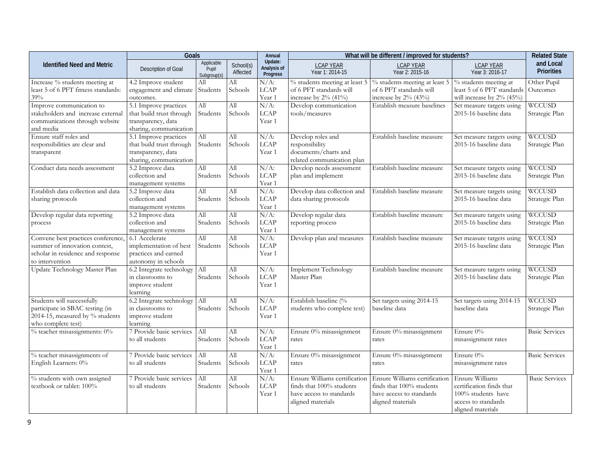|                                                       | <b>Goals</b>                           |                                    |                       | Annual                             |                                                    | What will be different / improved for students?    |                                                         |                                |
|-------------------------------------------------------|----------------------------------------|------------------------------------|-----------------------|------------------------------------|----------------------------------------------------|----------------------------------------------------|---------------------------------------------------------|--------------------------------|
| <b>Identified Need and Metric</b>                     | Description of Goal                    | Applicable<br>Pupil<br>Subgroup(s) | School(s)<br>Affected | Update:<br>Analysis of<br>Progress | <b>LCAP YEAR</b><br>Year 1: 2014-15                | <b>LCAP YEAR</b><br>Year 2: 2015-16                | <b>LCAP YEAR</b><br>Year 3: 2016-17                     | and Local<br><b>Priorities</b> |
| Increase % students meeting at                        | 4.2 Improve student                    | All                                | Аll                   | $N/A$ :                            | $%$ students meeting at least 5                    | % students meeting at least 5                      | % students meeting at                                   | Other Pupil                    |
| least 5 of 6 PFT fitness standards:<br>39%            | engagement and climate<br>outcomes.    | Students                           | Schools               | $_{\rm LCAP}$<br>Year 1            | of 6 PFT standards will<br>increase by $2\%$ (41%) | of 6 PFT standards will<br>increase by $2\%$ (43%) | least 5 of 6 PFT standards<br>will increase by 2% (45%) | Outcomes                       |
| Improve communication to                              | 5.1 Improve practices                  | Аll                                | All                   | $N/A$ :                            | Develop communication                              | Establish measure baselines                        | Set measure targets using                               | <b>WCCUSD</b>                  |
| stakeholders and increase external                    | that build trust through               | Students                           | Schools               | <b>LCAP</b>                        | tools/measures                                     |                                                    | 2015-16 baseline data                                   | Strategic Plan                 |
| communications through website                        | transparency, data                     |                                    |                       | Year 1                             |                                                    |                                                    |                                                         |                                |
| and media                                             | sharing, communication                 |                                    |                       |                                    |                                                    |                                                    |                                                         |                                |
| Ensure staff roles and                                | 5.1 Improve practices                  | All                                | All                   | $N/A$ :                            | Develop roles and                                  | Establish baseline measure                         | Set measure targets using                               | <b>WCCUSD</b>                  |
| responsibilities are clear and                        | that build trust through               | Students                           | Schools               | LCAP                               | responsibility                                     |                                                    | 2015-16 baseline data                                   | Strategic Plan                 |
| transparent                                           | transparency, data                     |                                    |                       | Year 1                             | documents/charts and                               |                                                    |                                                         |                                |
|                                                       | sharing, communication                 |                                    |                       |                                    | related communication plan                         |                                                    |                                                         |                                |
| Conduct data needs assessment                         | 5.2 Improve data                       | All                                | Аll                   | $N/A$ :                            | Develop needs assessment                           | Establish baseline measure                         | Set measure targets using                               | <b>WCCUSD</b>                  |
|                                                       | collection and                         | Students                           | Schools               | <b>LCAP</b>                        | plan and implement                                 |                                                    | 2015-16 baseline data                                   | Strategic Plan                 |
|                                                       | management systems                     |                                    |                       | Year 1                             |                                                    |                                                    |                                                         |                                |
| Establish data collection and data                    | 5.2 Improve data                       | All                                | All                   | $N/A$ :                            | Develop data collection and                        | Establish baseline measure                         | Set measure targets using                               | <b>WCCUSD</b>                  |
| sharing protocols                                     | collection and                         | Students                           | Schools               | $_{\rm LCAP}$<br>Year 1            | data sharing protocols                             |                                                    | 2015-16 baseline data                                   | Strategic Plan                 |
| Develop regular data reporting                        | management systems<br>5.2 Improve data | All                                | All                   | $N/A$ :                            | Develop regular data                               | Establish baseline measure                         | Set measure targets using                               | <b>WCCUSD</b>                  |
| process                                               | collection and                         | Students                           | Schools               | LCAP                               | reporting process                                  |                                                    | 2015-16 baseline data                                   | Strategic Plan                 |
|                                                       | management systems                     |                                    |                       | Year 1                             |                                                    |                                                    |                                                         |                                |
| Convene best practices conference,                    | 6.1 Accelerate                         | All                                | All                   | $N/A$ :                            | Develop plan and measures                          | Establish baseline measure                         | Set measure targets using                               | <b>WCCUSD</b>                  |
| summer of innovation contest,                         | implementation of best                 | Students                           | Schools               | LCAP                               |                                                    |                                                    | 2015-16 baseline data                                   | Strategic Plan                 |
| scholar in residence and response                     | practices and earned                   |                                    |                       | Year 1                             |                                                    |                                                    |                                                         |                                |
| to intervention                                       | autonomy in schools                    |                                    |                       |                                    |                                                    |                                                    |                                                         |                                |
| Update Technology Master Plan                         | 6.2 Integrate technology               | All                                | All                   | $N/A$ :                            | <b>Implement Technology</b>                        | Establish baseline measure                         | Set measure targets using                               | <b>WCCUSD</b>                  |
|                                                       | in classrooms to                       | Students                           | Schools               | LCAP                               | Master Plan                                        |                                                    | 2015-16 baseline data                                   | Strategic Plan                 |
|                                                       | improve student                        |                                    |                       | Year 1                             |                                                    |                                                    |                                                         |                                |
|                                                       | learning                               |                                    |                       |                                    |                                                    |                                                    |                                                         |                                |
| Students will successfully                            | 6.2 Integrate technology               | All                                | All                   | $N/A$ :                            | Establish baseline (%                              | Set targets using 2014-15                          | Set targets using 2014-15                               | <b>WCCUSD</b>                  |
| participate in SBAC testing (in                       | in classrooms to                       | Students                           | Schools               | LCAP                               | students who complete test)                        | baseline data                                      | baseline data                                           | Strategic Plan                 |
| 2014-15, measured by % students<br>who complete test) | improve student<br>learning            |                                    |                       | Year 1                             |                                                    |                                                    |                                                         |                                |
| $%$ teacher misassignments: $0\%$                     | 7 Provide basic services               | All                                | All                   | $N/A$ :                            | Ensure 0% misassignment                            | Ensure 0% misassignment                            | Ensure $0\%$                                            | <b>Basic Services</b>          |
|                                                       | to all students                        | Students                           | Schools               | $_{\rm LCAP}$                      | rates                                              | rates                                              | misassignment rates                                     |                                |
|                                                       |                                        |                                    |                       | Year 1                             |                                                    |                                                    |                                                         |                                |
| % teacher misassignments of                           | 7 Provide basic services               | All                                | All                   | $N/A$ :                            | Ensure 0% misassignment                            | Ensure 0% misassignment                            | Ensure $0\%$                                            | <b>Basic Services</b>          |
| English Learners: 0%                                  | to all students                        | Students                           | Schools               | LCAP                               | rates                                              | rates                                              | misassignment rates                                     |                                |
|                                                       |                                        |                                    |                       | Year 1                             |                                                    |                                                    |                                                         |                                |
| % students with own assigned                          | 7 Provide basic services               | All                                | All                   | $N/A$ :                            | Ensure Williams certification                      | Ensure Williams certification                      | <b>Ensure Williams</b>                                  | <b>Basic Services</b>          |
| textbook or tablet: 100%                              | to all students                        | Students                           | Schools               | LCAP                               | finds that 100% students                           | finds that 100% students                           | certification finds that                                |                                |
|                                                       |                                        |                                    |                       | Year 1                             | have access to standards                           | have access to standards                           | 100% students have                                      |                                |
|                                                       |                                        |                                    |                       |                                    | aligned materials                                  | aligned materials                                  | access to standards                                     |                                |
|                                                       |                                        |                                    |                       |                                    |                                                    |                                                    | aligned materials                                       |                                |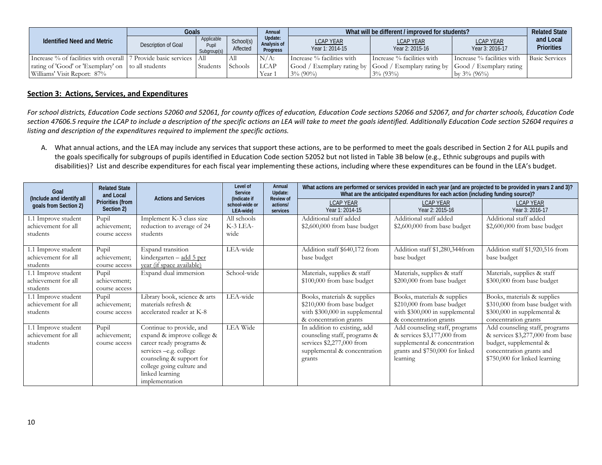|                                                                 | Goals               |                                    |                       | Annual                                    | What will be different / improved for students? |                                                       |                                     |                                |
|-----------------------------------------------------------------|---------------------|------------------------------------|-----------------------|-------------------------------------------|-------------------------------------------------|-------------------------------------------------------|-------------------------------------|--------------------------------|
| <b>Identified Need and Metric</b>                               | Description of Goal | Applicable<br>Pupil<br>Subgroup(s) | School(s)<br>Affected | Update:<br>Analysis of<br><b>Progress</b> | LCAP YEAR<br>Year 1: 2014-15                    | <b>LCAP YEAR</b><br>Year 2: 2015-16                   | <b>LCAP YEAR</b><br>Year 3: 2016-17 | and Local<br><b>Priorities</b> |
| Increase % of facilities with overall 17 Provide basic services |                     | All                                | All                   | $N/A$ :                                   | Increase % facilities with                      | Increase % facilities with                            | Increase % facilities with          | <b>Basic Services</b>          |
| rating of 'Good' or 'Exemplary' on to all students              |                     | Students                           | <b>Schools</b>        | <b>LCAP</b>                               |                                                 | Good / Exemplary rating by Good / Exemplary rating by | Good / Exemplary rating             |                                |
| Williams' Visit Report: 87%                                     |                     |                                    |                       | Year                                      | $3\%$ (90%)                                     | $3\%$ (93%)                                           | $\vert$ by 3% (96%)                 |                                |

#### **Section 3: Actions, Services, and Expenditures**

*For school districts, Education Code sections 52060 and 52061, for county offices of education, Education Code sections 52066 and 52067, and for charter schools, Education Code section 47606.5 require the LCAP to include a description of the specific actions an LEA will take to meet the goals identified. Additionally Education Code section 52604 requires a listing and description of the expenditures required to implement the specific actions.*

A. What annual actions, and the LEA may include any services that support these actions, are to be performed to meet the goals described in Section 2 for ALL pupils and the goals specifically for subgroups of pupils identified in Education Code section 52052 but not listed in Table 3B below (e.g., Ethnic subgroups and pupils with disabilities)? List and describe expenditures for each fiscal year implementing these actions, including where these expenditures can be found in the LEA's budget.

| Goal<br>(Include and identify all | <b>Related State</b><br>and Local     | <b>Actions and Services</b>  | Level of<br>Service<br>(Indicate if | Annual<br>Update:<br><b>Review of</b> | What actions are performed or services provided in each year (and are projected to be provided in years 2 and 3)?<br>What are the anticipated expenditures for each action (including funding source)? |                                     |                                     |
|-----------------------------------|---------------------------------------|------------------------------|-------------------------------------|---------------------------------------|--------------------------------------------------------------------------------------------------------------------------------------------------------------------------------------------------------|-------------------------------------|-------------------------------------|
| goals from Section 2)             | <b>Priorities (from</b><br>Section 2) |                              | school-wide or<br>LEA-wide)         | actions/<br>services                  | <b>LCAP YEAR</b><br>Year 1: 2014-15                                                                                                                                                                    | <b>LCAP YEAR</b><br>Year 2: 2015-16 | <b>LCAP YEAR</b><br>Year 3: 2016-17 |
| 1.1 Improve student               | Pupil                                 | Implement K-3 class size     | All schools                         |                                       | Additional staff added                                                                                                                                                                                 | Additional staff added              | Additional staff added              |
| achievement for all               | achievement:                          | reduction to average of 24   | K-3 LEA-                            |                                       | \$2,600,000 from base budget                                                                                                                                                                           | $$2,600,000$ from base budget       | $$2,600,000$ from base budget       |
| students                          | course access                         | students                     | wide                                |                                       |                                                                                                                                                                                                        |                                     |                                     |
| 1.1 Improve student               | Pupil                                 | Expand transition            | LEA-wide                            |                                       | Addition staff \$640,172 from                                                                                                                                                                          | Addition staff \$1,280,344from      | Addition staff \$1,920,516 from     |
| achievement for all               | achievement;                          | kindergarten - add 5 per     |                                     |                                       | base budget                                                                                                                                                                                            | base budget                         | base budget                         |
| students                          | course access                         | year (if space available)    |                                     |                                       |                                                                                                                                                                                                        |                                     |                                     |
| 1.1 Improve student               | Pupil                                 | Expand dual immersion        | School-wide                         |                                       | Materials, supplies & staff                                                                                                                                                                            | Materials, supplies & staff         | Materials, supplies & staff         |
| achievement for all               | achievement;                          |                              |                                     |                                       | \$100,000 from base budget                                                                                                                                                                             | \$200,000 from base budget          | \$300,000 from base budget          |
| students                          | course access                         |                              |                                     |                                       |                                                                                                                                                                                                        |                                     |                                     |
| 1.1 Improve student               | Pupil                                 | Library book, science & arts | LEA-wide                            |                                       | Books, materials & supplies                                                                                                                                                                            | Books, materials & supplies         | Books, materials & supplies         |
| achievement for all               | achievement:                          | materials refresh &          |                                     |                                       | \$210,000 from base budget                                                                                                                                                                             | \$210,000 from base budget          | \$310,000 from base budget with     |
| students                          | course access                         | accelerated reader at K-8    |                                     |                                       | with \$300,000 in supplemental                                                                                                                                                                         | with \$300,000 in supplemental      | \$300,000 in supplemental &         |
|                                   |                                       |                              |                                     |                                       | & concentration grants                                                                                                                                                                                 | & concentration grants              | concentration grants                |
| 1.1 Improve student               | Pupil                                 | Continue to provide, and     | LEA Wide                            |                                       | In addition to existing, add                                                                                                                                                                           | Add counseling staff, programs      | Add counseling staff, programs      |
| achievement for all               | achievement;                          | expand & improve college &   |                                     |                                       | counseling staff, programs &                                                                                                                                                                           | & services \$3,177,000 from         | & services \$3,277,000 from base    |
| students                          | course access                         | career ready programs &      |                                     |                                       | services \$2,277,000 from                                                                                                                                                                              | supplemental & concentration        | budget, supplemental &              |
|                                   |                                       | services-e.g. college        |                                     |                                       | supplemental & concentration                                                                                                                                                                           | grants and \$750,000 for linked     | concentration grants and            |
|                                   |                                       | counseling & support for     |                                     |                                       | grants                                                                                                                                                                                                 | learning                            | \$750,000 for linked learning       |
|                                   |                                       | college going culture and    |                                     |                                       |                                                                                                                                                                                                        |                                     |                                     |
|                                   |                                       | linked learning              |                                     |                                       |                                                                                                                                                                                                        |                                     |                                     |
|                                   |                                       | implementation               |                                     |                                       |                                                                                                                                                                                                        |                                     |                                     |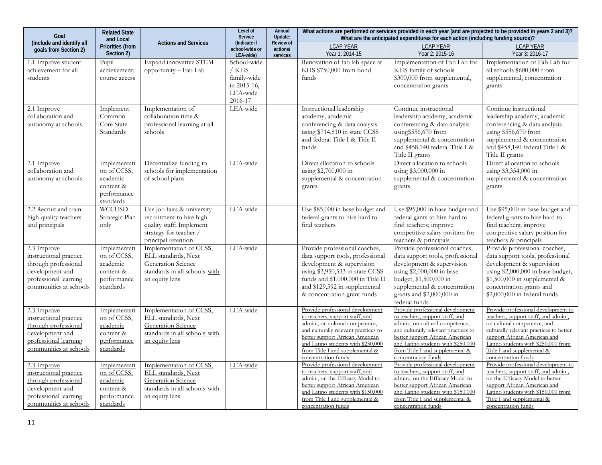| Goal                                                                                                                                  | <b>Related State</b><br>and Local                                                |                                                                                                                                     | Level of<br>Service                                                       | Annual<br>Update:                        |                                                                                                                                                                                                                                                                                   | What are the anticipated expenditures for each action (including funding source)?                                                                                                                                                                                                 | What actions are performed or services provided in each year (and are projected to be provided in years 2 and 3)?                                                                                                                                                                 |
|---------------------------------------------------------------------------------------------------------------------------------------|----------------------------------------------------------------------------------|-------------------------------------------------------------------------------------------------------------------------------------|---------------------------------------------------------------------------|------------------------------------------|-----------------------------------------------------------------------------------------------------------------------------------------------------------------------------------------------------------------------------------------------------------------------------------|-----------------------------------------------------------------------------------------------------------------------------------------------------------------------------------------------------------------------------------------------------------------------------------|-----------------------------------------------------------------------------------------------------------------------------------------------------------------------------------------------------------------------------------------------------------------------------------|
| (Include and identify all<br>qoals from Section 2)                                                                                    | <b>Priorities (from</b><br>Section 2)                                            | <b>Actions and Services</b>                                                                                                         | (Indicate if<br>school-wide or<br>LEA-wide)                               | <b>Review of</b><br>actions/<br>services | <b>LCAP YEAR</b><br>Year 1: 2014-15                                                                                                                                                                                                                                               | <b>LCAP YEAR</b><br>Year 2: 2015-16                                                                                                                                                                                                                                               | LCAP YEAR<br>Year 3: 2016-17                                                                                                                                                                                                                                                      |
| 1.1 Improve student<br>achievement for all<br>students                                                                                | Pupil<br>achievement;<br>course access                                           | Expand innovative STEM<br>opportunity – Fab Lab                                                                                     | School-wide<br>/ KHS<br>family-wide<br>in 2015-16,<br>LEA-wide<br>2016-17 |                                          | Renovation of fab lab space at<br>KHS \$750,000 from bond<br>funds                                                                                                                                                                                                                | Implementation of Fab Lab for<br>KHS family of schools<br>\$300,000 from supplemental,<br>concentration grants                                                                                                                                                                    | Implementation of Fab Lab for<br>all schools \$600,000 from<br>supplemental, concentration<br>grants                                                                                                                                                                              |
| 2.1 Improve<br>collaboration and<br>autonomy at schools                                                                               | Implement<br>Common<br>Core State<br>Standards                                   | Implementation of<br>collaboration time &<br>professional learning at all<br>schools                                                | LEA-wide                                                                  |                                          | Instructional leadership<br>academy, academic<br>conferencing & data analysis<br>using \$714,810 in state CCSS<br>and federal Title I & Title II<br>funds                                                                                                                         | Continue instructional<br>leadership academy, academic<br>conferencing & data analysis<br>using \$556,670 from<br>supplemental & concentration<br>and \$458,140 federal Title I &<br>Title II grants                                                                              | Continue instructional<br>leadership academy, academic<br>conferencing & data analysis<br>using \$556,670 from<br>supplemental & concentration<br>and \$458,140 federal Title I &<br>Title II grants                                                                              |
| 2.1 Improve<br>collaboration and<br>autonomy at schools                                                                               | Implementati<br>on of CCSS,<br>academic<br>content &<br>performance<br>standards | Decentralize funding to<br>schools for implementation<br>of school plans                                                            | LEA-wide                                                                  |                                          | Direct allocation to schools<br>using $$2,700,000$ in<br>supplemental & concentration<br>grants                                                                                                                                                                                   | Direct allocation to schools<br>using \$3,000,000 in<br>supplemental & concentration<br>grants                                                                                                                                                                                    | Direct allocation to schools<br>using \$3,354,000 in<br>supplemental & concentration<br>grants                                                                                                                                                                                    |
| 2.2 Recruit and train<br>high quality teachers<br>and principals                                                                      | <b>WCCUSD</b><br>Strategic Plan<br>only                                          | Use job fairs & university<br>recruitment to hire high<br>quality staff; Implement<br>strategy for teacher /<br>principal retention | LEA-wide                                                                  |                                          | Use \$85,000 in base budget and<br>federal grants to hire hard to<br>find teachers                                                                                                                                                                                                | Use \$95,000 in base budget and<br>federal gants to hire hard to<br>find teachers; improve<br>competitive salary position for<br>teachers & principals                                                                                                                            | Use \$95,000 in base budget and<br>federal grants to hire hard to<br>find teachers; improve<br>competitive salary position for<br>teachers & principals                                                                                                                           |
| 2.3 Improve<br>instructional practice<br>through professional<br>development and<br>professional learning<br>communities at schools   | Implementati<br>on of CCSS,<br>academic<br>content &<br>performance<br>standards | Implementation of CCSS,<br>ELL standards, Next<br>Generation Science<br>standards in all schools with<br>an equity lens             | LEA-wide                                                                  |                                          | Provide professional coaches,<br>data support tools, professional<br>development & supervision<br>using \$3,950,533 in state CCSS<br>funds and \$1,000,000 in Title II<br>and \$129,592 in supplemental<br>& concentration grant funds                                            | Provide professional coaches,<br>data support tools, professional<br>development & supervision<br>using \$2,000,000 in base<br>budget, \$1,500,000 in<br>supplemental & concentration<br>grants and \$2,000,000 in<br>federal funds                                               | Provide professional coaches,<br>data support tools, professional<br>development & supervision<br>using \$2,000,000 in base budget,<br>$$1,500,000$ in supplemental &<br>concentration grants and<br>\$2,000,000 in federal funds                                                 |
| 2.3 Improve<br>instructional practice<br>through professional<br>development and<br>professional learning<br>communities at schools   | Implementati<br>on of CCSS,<br>academic<br>content &<br>performance<br>standards | Implementation of CCSS,<br>ELL standards, Next<br>Generation Science<br>standards in all schools with<br>an equity lens             | LEA-wide                                                                  |                                          | Provide professional development<br>to teachers, support staff, and<br>admin., on cultural competence,<br>and culturally relevant practices to<br>better support African American<br>and Latino students with \$250,000<br>from Title I and supplemental &<br>concentration funds | Provide professional development<br>to teachers, support staff, and<br>admin., on cultural competence,<br>and culturally relevant practices to<br>better support African American<br>and Latino students with \$250,000<br>from Title I and supplemental &<br>concentration funds | Provide professional development to<br>teachers, support staff, and admin.,<br>on cultural competence, and<br>culturally relevant practices to better<br>support African American and<br>Latino students with \$250,000 from<br>Title I and supplemental &<br>concentration funds |
| $2.3$ Improve<br>instructional practice<br>through professional<br>development and<br>professional learning<br>communities at schools | Implementati<br>on of CCSS,<br>academic<br>content &<br>performance<br>standards | Implementation of CCSS,<br>ELL standards, Next<br>Generation Science<br>standards in all schools with<br>an equity lens             | LEA-wide                                                                  |                                          | Provide professional development<br>to teachers, support staff, and<br>admin., on the Efficacy Model to<br>better support African American<br>and Latino students with \$150,000<br>from Title I and supplemental &<br>concentration funds                                        | Provide professional development<br>to teachers, support staff, and<br>admin., on the Efficacy Model to<br>better support African American<br>and Latino students with \$150,000<br>from Title I and supplemental &<br>concentration funds                                        | Provide professional development to<br>teachers, support staff, and admin.,<br>on the Efficacy Model to better<br>support African American and<br>Latino students with \$150,000 from<br>Title I and supplemental &<br>concentration funds                                        |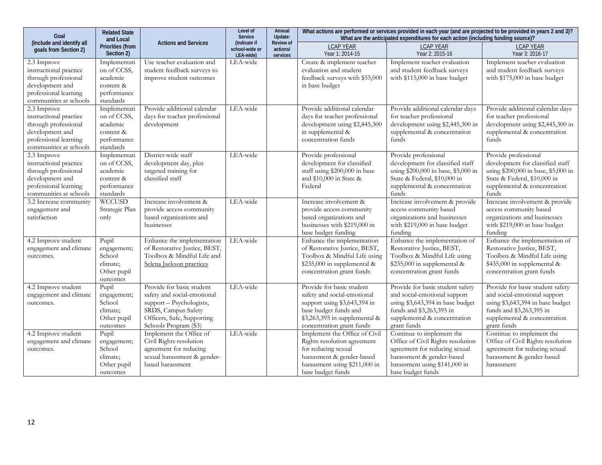| Goal                                                                                                                                | <b>Related State</b><br>and Local                                                |                                                                                                                                                                   | Level of<br>Service                         | Annual<br>Update:                        | What actions are performed or services provided in each year (and are projected to be provided in years 2 and 3)?<br>What are the anticipated expenditures for each action (including funding source)? |                                                                                                                                                                                    |                                                                                                                                                                                 |  |
|-------------------------------------------------------------------------------------------------------------------------------------|----------------------------------------------------------------------------------|-------------------------------------------------------------------------------------------------------------------------------------------------------------------|---------------------------------------------|------------------------------------------|--------------------------------------------------------------------------------------------------------------------------------------------------------------------------------------------------------|------------------------------------------------------------------------------------------------------------------------------------------------------------------------------------|---------------------------------------------------------------------------------------------------------------------------------------------------------------------------------|--|
| (Include and identify all<br>goals from Section 2)                                                                                  | Priorities (from<br>Section 2)                                                   | <b>Actions and Services</b>                                                                                                                                       | (Indicate if<br>school-wide or<br>LEA-wide) | <b>Review of</b><br>actions/<br>services | <b>LCAP YEAR</b><br>Year 1: 2014-15                                                                                                                                                                    | <b>LCAP YEAR</b><br>Year 2: 2015-16                                                                                                                                                | <b>LCAP YEAR</b><br>Year 3: 2016-17                                                                                                                                             |  |
| 2.3 Improve<br>instructional practice<br>through professional<br>development and<br>professional learning<br>communities at schools | Implementati<br>on of CCSS,<br>academic<br>content &<br>performance<br>standards | Use teacher evaluation and<br>student feedback surveys to<br>improve student outcomes                                                                             | LEA-wide                                    |                                          | Create & implement teacher<br>evaluation and student<br>feedback surveys with \$55,000<br>in base budget                                                                                               | Implement teacher evaluation<br>and student feedback surveys<br>with \$115,000 in base budget                                                                                      | Implement teacher evaluation<br>and student feedback surveys<br>with \$175,000 in base budget                                                                                   |  |
| 2.3 Improve<br>instructional practice<br>through professional<br>development and<br>professional learning<br>communities at schools | Implementati<br>on of CCSS,<br>academic<br>content &<br>performance<br>standards | Provide additional calendar<br>days for teacher professional<br>development                                                                                       | LEA-wide                                    |                                          | Provide additional calendar<br>days for teacher professional<br>development using \$2,445,300<br>in supplemental &<br>concentration funds                                                              | Provide additional calendar days<br>for teacher professional<br>development using \$2,445,300 in<br>supplemental & concentration<br>funds                                          | Provide additional calendar days<br>for teacher professional<br>development using \$2,445,300 in<br>supplemental & concentration<br>funds                                       |  |
| 2.3 Improve<br>instructional practice<br>through professional<br>development and<br>professional learning<br>communities at schools | Implementati<br>on of CCSS,<br>academic<br>content &<br>performance<br>standards | District-wide staff<br>development day, plus<br>targeted training for<br>classified staff                                                                         | LEA-wide                                    |                                          | Provide professional<br>development for classified<br>staff using \$200,000 in base<br>and $$10,000$ in State &<br>Federal                                                                             | Provide professional<br>development for classified staff<br>using \$200,000 in base, \$5,000 in<br>State & Federal, \$10,000 in<br>supplemental & concentration<br>funds           | Provide professional<br>development for classified staff<br>using \$200,000 in base, \$5,000 in<br>State & Federal, \$10,000 in<br>supplemental & concentration<br>funds        |  |
| 3.2 Increase community<br>engagement and<br>satisfaction                                                                            | <b>WCCUSD</b><br>Strategic Plan<br>only                                          | Increase involvement &<br>provide access community<br>based organizations and<br>businesses                                                                       | LEA-wide                                    |                                          | Increase involvement &<br>provide access community<br>based organizations and<br>businesses with \$219,000 in<br>base budget funding                                                                   | Increase involvement & provide<br>access community based<br>organizations and businesses<br>with \$219,000 in base budget<br>funding                                               | Increase involvement & provide<br>access community based<br>organizations and businesses<br>with \$219,000 in base budget<br>funding                                            |  |
| 4.2 Improve student<br>engagement and climate<br>outcomes.                                                                          | Pupil<br>engagement;<br>School<br>climate;<br>Other pupil<br>outcomes            | Enhance the implementation<br>of Restorative Justice, BEST,<br>Toolbox & Mindful Life and<br>Selena Jackson practices                                             | LEA-wide                                    |                                          | Enhance the implementation<br>of Restorative Justice, BEST,<br>Toolbox & Mindful Life using<br>\$235,000 in supplemental &<br>concentration grant funds                                                | Enhance the implementation of<br>Restorative Justice, BEST,<br>Toolbox & Mindful Life using<br>\$235,000 in supplemental &<br>concentration grant funds                            | Enhance the implementation of<br>Restorative Justice, BEST,<br>Toolbox & Mindful Life using<br>\$435,000 in supplemental &<br>concentration grant funds                         |  |
| 4.2 Improve student<br>engagement and climate<br>outcomes.                                                                          | Pupil<br>engagement;<br>School<br>climate;<br>Other pupil<br>outcomes            | Provide for basic student<br>safety and social-emotional<br>support - Psychologists,<br>SRDS, Campus Safety<br>Officers, Safe, Supporting<br>Schools Program (S3) | LEA-wide                                    |                                          | Provide for basic student<br>safety and social-emotional<br>support using \$3,643,394 in<br>base budget funds and<br>\$3,263,395 in supplemental &<br>concentration grant funds                        | Provide for basic student safety<br>and social-emotional support<br>using \$3,643,394 in base budget<br>funds and \$3,263,395 in<br>supplemental & concentration<br>grant funds    | Provide for basic student safety<br>and social-emotional support<br>using \$3,643,394 in base budget<br>funds and \$3,263,395 in<br>supplemental & concentration<br>grant funds |  |
| 4.2 Improve student<br>engagement and climate<br>outcomes.                                                                          | Pupil<br>engagement;<br>School<br>climate;<br>Other pupil<br>outcomes            | Implement the Office of<br>Civil Rights resolution<br>agreement for reducing<br>sexual harassment & gender-<br>based harassment                                   | LEA-wide                                    |                                          | Implement the Office of Civil<br>Rights resolution agreement<br>for reducing sexual<br>harassment & gender-based<br>harassment using \$211,000 in<br>base budget funds                                 | Continue to implement the<br>Office of Civil Rights resolution<br>agreement for reducing sexual<br>harassment & gender-based<br>harassment using \$141,000 in<br>base budget funds | Continue to implement the<br>Office of Civil Rights resolution<br>agreement for reducing sexual<br>harassment & gender-based<br>harassment                                      |  |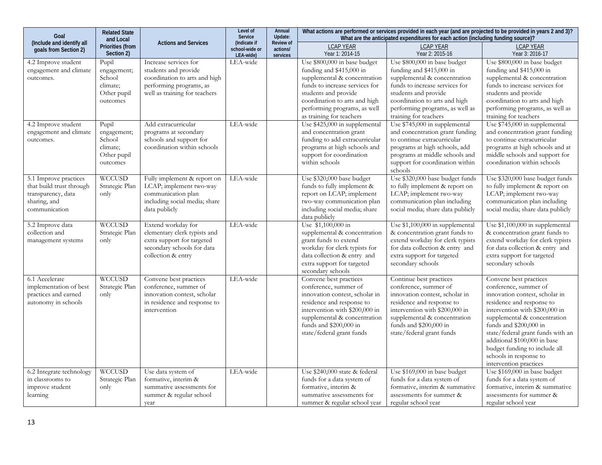| <b>Related State</b><br>Goal<br>and Local<br>(Include and identify all<br><b>Actions and Services</b>    |                                                                       |                                                                                                                                            | Level of<br>Annual<br>Update:<br>Service<br><b>Review of</b><br>(Indicate if | What actions are performed or services provided in each year (and are projected to be provided in years 2 and 3)?<br>What are the anticipated expenditures for each action (including funding source)? |                                                                                                                                                                                                                                                 |                                                                                                                                                                                                                                                 |                                                                                                                                                                                                                                                                                                                                                                      |
|----------------------------------------------------------------------------------------------------------|-----------------------------------------------------------------------|--------------------------------------------------------------------------------------------------------------------------------------------|------------------------------------------------------------------------------|--------------------------------------------------------------------------------------------------------------------------------------------------------------------------------------------------------|-------------------------------------------------------------------------------------------------------------------------------------------------------------------------------------------------------------------------------------------------|-------------------------------------------------------------------------------------------------------------------------------------------------------------------------------------------------------------------------------------------------|----------------------------------------------------------------------------------------------------------------------------------------------------------------------------------------------------------------------------------------------------------------------------------------------------------------------------------------------------------------------|
| goals from Section 2)                                                                                    | <b>Priorities (from</b><br>Section 2)                                 |                                                                                                                                            | school-wide or<br>LEA-wide)                                                  | actions/<br>services                                                                                                                                                                                   | <b>LCAP YEAR</b><br>Year 1: 2014-15                                                                                                                                                                                                             | <b>LCAP YEAR</b><br>Year 2: 2015-16                                                                                                                                                                                                             | <b>LCAP YEAR</b><br>Year 3: 2016-17                                                                                                                                                                                                                                                                                                                                  |
| 4.2 Improve student<br>engagement and climate<br>outcomes.                                               | Pupil<br>engagement;<br>School<br>climate:<br>Other pupil<br>outcomes | Increase services for<br>students and provide<br>coordination to arts and high<br>performing programs, as<br>well as training for teachers | LEA-wide                                                                     |                                                                                                                                                                                                        | Use \$800,000 in base budget<br>funding and \$415,000 in<br>supplemental & concentration<br>funds to increase services for<br>students and provide<br>coordination to arts and high<br>performing programs, as well<br>as training for teachers | Use \$800,000 in base budget<br>funding and \$415,000 in<br>supplemental & concentration<br>funds to increase services for<br>students and provide<br>coordination to arts and high<br>performing programs, as well as<br>training for teachers | Use \$800,000 in base budget<br>funding and \$415,000 in<br>supplemental & concentration<br>funds to increase services for<br>students and provide<br>coordination to arts and high<br>performing programs, as well as<br>training for teachers                                                                                                                      |
| 4.2 Improve student<br>engagement and climate<br>outcomes.                                               | Pupil<br>engagement;<br>School<br>climate;<br>Other pupil<br>outcomes | Add extracurricular<br>programs at secondary<br>schools and support for<br>coordination within schools                                     | LEA-wide                                                                     |                                                                                                                                                                                                        | Use \$425,000 in supplemental<br>and concentration grant<br>funding to add extracurricular<br>programs at high schools and<br>support for coordination<br>within schools                                                                        | Use \$745,000 in supplemental<br>and concentration grant funding<br>to continue extracurricular<br>programs at high schools, add<br>programs at middle schools and<br>support for coordination within<br>schools                                | Use \$745,000 in supplemental<br>and concentration grant funding<br>to continue extracurricular<br>programs at high schools and at<br>middle schools and support for<br>coordination within schools                                                                                                                                                                  |
| 5.1 Improve practices<br>that build trust through<br>transparency, data<br>sharing, and<br>communication | WCCUSD<br>Strategic Plan<br>only                                      | Fully implement & report on<br>LCAP; implement two-way<br>communication plan<br>including social media; share<br>data publicly             | LEA-wide                                                                     |                                                                                                                                                                                                        | Use \$320,000 base budget<br>funds to fully implement &<br>report on LCAP; implement<br>two-way communication plan<br>including social media; share<br>data publicly                                                                            | Use \$320,000 base budget funds<br>to fully implement & report on<br>LCAP; implement two-way<br>communication plan including<br>social media; share data publicly                                                                               | Use \$320,000 base budget funds<br>to fully implement & report on<br>LCAP; implement two-way<br>communication plan including<br>social media; share data publicly                                                                                                                                                                                                    |
| 5.2 Improve data<br>collection and<br>management systems                                                 | <b>WCCUSD</b><br>Strategic Plan<br>only                               | Extend workday for<br>elementary clerk typists and<br>extra support for targeted<br>secondary schools for data<br>collection & entry       | LEA-wide                                                                     |                                                                                                                                                                                                        | Use \$1,100,000 in<br>supplemental & concentration<br>grant funds to extend<br>workday for clerk typists for<br>data collection & entry and<br>extra support for targeted<br>secondary schools                                                  | Use \$1,100,000 in supplemental<br>& concentration grant funds to<br>extend workday for clerk typists<br>for data collection & entry and<br>extra support for targeted<br>secondary schools                                                     | Use \$1,100,000 in supplemental<br>& concentration grant funds to<br>extend workday for clerk typists<br>for data collection & entry and<br>extra support for targeted<br>secondary schools                                                                                                                                                                          |
| 6.1 Accelerate<br>implementation of best<br>practices and earned<br>autonomy in schools                  | <b>WCCUSD</b><br>Strategic Plan<br>only                               | Convene best practices<br>conference, summer of<br>innovation contest, scholar<br>in residence and response to<br>intervention             | LEA-wide                                                                     |                                                                                                                                                                                                        | Convene best practices<br>conference, summer of<br>innovation contest, scholar in<br>residence and response to<br>intervention with \$200,000 in<br>supplemental & concentration<br>funds and \$200,000 in<br>state/federal grant funds         | Continue best practices<br>conference, summer of<br>innovation contest, scholar in<br>residence and response to<br>intervention with \$200,000 in<br>supplemental & concentration<br>funds and \$200,000 in<br>state/federal grant funds        | Convene best practices<br>conference, summer of<br>innovation contest, scholar in<br>residence and response to<br>intervention with \$200,000 in<br>supplemental & concentration<br>funds and \$200,000 in<br>state/federal grant funds with an<br>additional \$100,000 in base<br>budget funding to include all<br>schools in response to<br>intervention practices |
| 6.2 Integrate technology<br>in classrooms to<br>improve student<br>learning                              | <b>WCCUSD</b><br>Strategic Plan<br>only                               | Use data system of<br>formative, interim &<br>summative assessments for<br>summer & regular school<br>year                                 | LEA-wide                                                                     |                                                                                                                                                                                                        | Use \$240,000 state & federal<br>funds for a data system of<br>formative, interim &<br>summative assessments for<br>summer & regular school year                                                                                                | Use \$169,000 in base budget<br>funds for a data system of<br>formative, interim & summative<br>assessments for summer &<br>regular school year                                                                                                 | Use \$169,000 in base budget<br>funds for a data system of<br>formative, interim & summative<br>assessments for summer &<br>regular school year                                                                                                                                                                                                                      |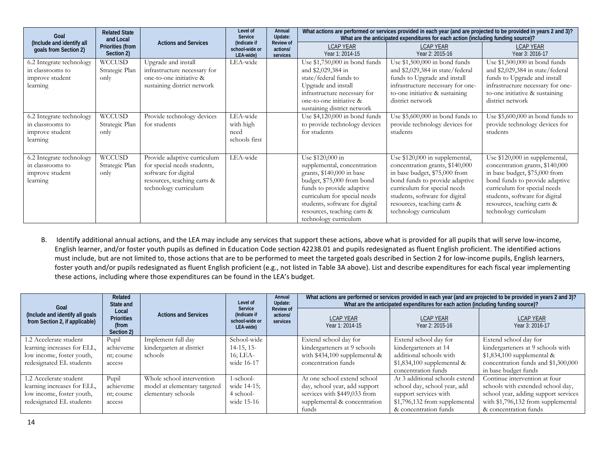| Goal                                                                        | <b>Related State</b><br>and Local<br>Priorities (from<br>Section 2) | <b>Actions and Services</b>                                                                                                                | Level of<br>Service<br>(Indicate if<br>school-wide or<br>LEA-wide) | Annual<br>Update:<br><b>Review of</b><br>actions/<br>services | What actions are performed or services provided in each year (and are projected to be provided in years 2 and 3)?<br>What are the anticipated expenditures for each action (including funding source)?                                                            |                                                                                                                                                                                                                                                                |                                                                                                                                                                                                                                                                |
|-----------------------------------------------------------------------------|---------------------------------------------------------------------|--------------------------------------------------------------------------------------------------------------------------------------------|--------------------------------------------------------------------|---------------------------------------------------------------|-------------------------------------------------------------------------------------------------------------------------------------------------------------------------------------------------------------------------------------------------------------------|----------------------------------------------------------------------------------------------------------------------------------------------------------------------------------------------------------------------------------------------------------------|----------------------------------------------------------------------------------------------------------------------------------------------------------------------------------------------------------------------------------------------------------------|
| (Include and identify all<br>goals from Section 2)                          |                                                                     |                                                                                                                                            |                                                                    |                                                               | <b>LCAP YEAR</b><br>Year 1: 2014-15                                                                                                                                                                                                                               | <b>LCAP YEAR</b><br>Year 2: 2015-16                                                                                                                                                                                                                            | <b>LCAP YEAR</b><br>Year 3: 2016-17                                                                                                                                                                                                                            |
| 6.2 Integrate technology<br>in classrooms to<br>improve student<br>learning | WCCUSD<br>Strategic Plan<br>only                                    | Upgrade and install<br>infrastructure necessary for<br>one-to-one initiative &<br>sustaining district network                              | LEA-wide                                                           |                                                               | Use $$1,750,000$ in bond funds<br>and \$2,029,384 in<br>state/federal funds to<br>Upgrade and install<br>infrastructure necessary for<br>one-to-one initiative &<br>sustaining district network                                                                   | Use $$1,500,000$ in bond funds<br>and \$2,029,384 in state/federal<br>funds to Upgrade and install<br>infrastructure necessary for one-<br>to-one initiative & sustaining<br>district network                                                                  | Use $$1,500,000$ in bond funds<br>and \$2,029,384 in state/federal<br>funds to Upgrade and install<br>infrastructure necessary for one-<br>to-one initiative & sustaining<br>district network                                                                  |
| 6.2 Integrate technology<br>in classrooms to<br>improve student<br>learning | WCCUSD<br>Strategic Plan<br>only                                    | Provide technology devices<br>for students                                                                                                 | LEA-wide<br>with high<br>need<br>schools first                     |                                                               | Use $$4,120,000$ in bond funds<br>to provide technology devices<br>for students                                                                                                                                                                                   | Use \$5,600,000 in bond funds to<br>provide technology devices for<br>students                                                                                                                                                                                 | Use $$5,600,000$ in bond funds to<br>provide technology devices for<br>students                                                                                                                                                                                |
| 6.2 Integrate technology<br>in classrooms to<br>improve student<br>learning | WCCUSD<br>Strategic Plan<br>only                                    | Provide adaptive curriculum<br>for special needs students,<br>software for digital<br>resources, teaching carts &<br>technology curriculum | LEA-wide                                                           |                                                               | Use \$120,000 in<br>supplemental, concentration<br>grants, \$140,000 in base<br>budget, \$75,000 from bond<br>funds to provide adaptive<br>curriculum for special needs<br>students, software for digital<br>resources, teaching carts &<br>technology curriculum | Use \$120,000 in supplemental,<br>concentration grants, \$140,000<br>in base budget, \$75,000 from<br>bond funds to provide adaptive<br>curriculum for special needs<br>students, software for digital<br>resources, teaching carts &<br>technology curriculum | Use \$120,000 in supplemental,<br>concentration grants, \$140,000<br>in base budget, \$75,000 from<br>bond funds to provide adaptive<br>curriculum for special needs<br>students, software for digital<br>resources, teaching carts &<br>technology curriculum |

B. Identify additional annual actions, and the LEA may include any services that support these actions, above what is provided for all pupils that will serve low-income, English learner, and/or foster youth pupils as defined in Education Code section 42238.01 and pupils redesignated as fluent English proficient. The identified actions must include, but are not limited to, those actions that are to be performed to meet the targeted goals described in Section 2 for low-income pupils, English learners, foster youth and/or pupils redesignated as fluent English proficient (e.g., not listed in Table 3A above). List and describe expenditures for each fiscal year implementing these actions, including where those expenditures can be found in the LEA's budget.

| Goal                                                              | Related<br>State and                              | <b>Actions and Services</b>  | Level of<br>Service<br>(Indicate if<br>school-wide or<br>LEA-wide) | Annual<br>Update:<br><b>Review of</b><br>actions/<br>services | What actions are performed or services provided in each year (and are projected to be provided in years 2 and 3)?<br>What are the anticipated expenditures for each action (including funding source)? |                                     |                                      |  |
|-------------------------------------------------------------------|---------------------------------------------------|------------------------------|--------------------------------------------------------------------|---------------------------------------------------------------|--------------------------------------------------------------------------------------------------------------------------------------------------------------------------------------------------------|-------------------------------------|--------------------------------------|--|
| (Include and identify all goals<br>from Section 2, if applicable) | Local<br><b>Priorities</b><br>(from<br>Section 2) |                              |                                                                    |                                                               | <b>LCAP YEAR</b><br>Year 1: 2014-15                                                                                                                                                                    | <b>LCAP YEAR</b><br>Year 2: 2015-16 | <b>LCAP YEAR</b><br>Year 3: 2016-17  |  |
| 1.2 Accelerate student                                            | Pupil                                             | Implement full day           | School-wide                                                        |                                                               | Extend school day for                                                                                                                                                                                  | Extend school day for               | Extend school day for                |  |
| learning increases for ELL,                                       | achieveme                                         | kindergarten at district     | $14-15$ , 15-                                                      |                                                               | kindergarteners at 9 schools                                                                                                                                                                           | kindergarteners at 14               | kindergarteners at 9 schools with    |  |
| low income, foster youth,                                         | nt; course                                        | schools                      | 16; LEA-                                                           |                                                               | with \$434,100 supplemental &                                                                                                                                                                          | additional schools with             | \$1,834,100 supplemental &           |  |
| redesignated EL students                                          | access                                            |                              | wide 16-17                                                         |                                                               | concentration funds                                                                                                                                                                                    | $$1,834,100$ supplemental &         | concentration funds and \$1,300,000  |  |
|                                                                   |                                                   |                              |                                                                    |                                                               |                                                                                                                                                                                                        | concentration funds                 | in base budget funds                 |  |
| 1.2 Accelerate student                                            | Pupil                                             | Whole school intervention    | $1$ -school-                                                       |                                                               | At one school extend school                                                                                                                                                                            | At 3 additional schools extend      | Continue intervention at four        |  |
| learning increases for ELL,                                       | achieveme                                         | model at elementary targeted | wide 14-15;                                                        |                                                               | day, school year, add support                                                                                                                                                                          | school day, school year, add        | schools with extended school day,    |  |
| low income, foster youth,                                         | nt; course                                        | elementary schools           | 4 school-                                                          |                                                               | services with \$449,033 from                                                                                                                                                                           | support services with               | school year, adding support services |  |
| redesignated EL students                                          | access                                            |                              | wide 15-16                                                         |                                                               | supplemental & concentration                                                                                                                                                                           | \$1,796,132 from supplemental       | with \$1,796,132 from supplemental   |  |
|                                                                   |                                                   |                              |                                                                    |                                                               | funds                                                                                                                                                                                                  | & concentration funds               | & concentration funds                |  |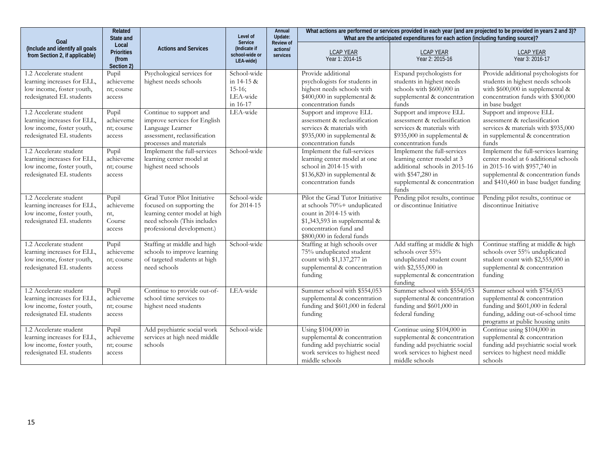| Goal                                                                                                           | Related<br>State and<br>Local<br><b>Priorities</b><br>(from<br>Section 2) | <b>Actions and Services</b>                                                                                                                            | Level of<br>Service<br>(Indicate if<br>school-wide or<br>LEA-wide) | Annual<br>Update:<br>Review of<br>actions/<br>services | What actions are performed or services provided in each year (and are projected to be provided in years 2 and 3)?<br>What are the anticipated expenditures for each action (including funding source)? |                                                                                                                                                          |                                                                                                                                                                                            |  |
|----------------------------------------------------------------------------------------------------------------|---------------------------------------------------------------------------|--------------------------------------------------------------------------------------------------------------------------------------------------------|--------------------------------------------------------------------|--------------------------------------------------------|--------------------------------------------------------------------------------------------------------------------------------------------------------------------------------------------------------|----------------------------------------------------------------------------------------------------------------------------------------------------------|--------------------------------------------------------------------------------------------------------------------------------------------------------------------------------------------|--|
| (Include and identify all goals<br>from Section 2, if applicable)                                              |                                                                           |                                                                                                                                                        |                                                                    |                                                        | <b>LCAP YEAR</b><br>Year 1: 2014-15                                                                                                                                                                    | <b>LCAP YEAR</b><br>Year 2: 2015-16                                                                                                                      | <b>LCAP YEAR</b><br>Year 3: 2016-17                                                                                                                                                        |  |
| 1.2 Accelerate student<br>learning increases for ELL.<br>low income, foster youth,<br>redesignated EL students | Pupil<br>achieveme<br>nt; course<br>access                                | Psychological services for<br>highest needs schools                                                                                                    | School-wide<br>in $14-15 &$<br>$15-16;$<br>LEA-wide<br>in 16-17    |                                                        | Provide additional<br>psychologists for students in<br>highest needs schools with<br>$$400,000$ in supplemental &<br>concentration funds                                                               | Expand psychologists for<br>students in highest needs<br>schools with \$600,000 in<br>supplemental & concentration<br>funds                              | Provide additional psychologists for<br>students in highest needs schools<br>with \$600,000 in supplemental &<br>concentration funds with \$300,000<br>in base budget                      |  |
| 1.2 Accelerate student<br>learning increases for ELL.<br>low income, foster youth,<br>redesignated EL students | Pupil<br>achieveme<br>nt; course<br>access                                | Continue to support and<br>improve services for English<br>Language Learner<br>assessment, reclassification<br>processes and materials                 | LEA-wide                                                           |                                                        | Support and improve ELL<br>assessment & reclassification<br>services & materials with<br>\$935,000 in supplemental &<br>concentration funds                                                            | Support and improve ELL<br>assessment & reclassification<br>services & materials with<br>\$935,000 in supplemental &<br>concentration funds              | Support and improve ELL<br>assessment & reclassification<br>services & materials with \$935,000<br>in supplemental & concentration<br>funds                                                |  |
| 1.2 Accelerate student<br>learning increases for ELL.<br>low income, foster youth,<br>redesignated EL students | Pupil<br>achieveme<br>nt; course<br>access                                | Implement the full-services<br>learning center model at<br>highest need schools                                                                        | School-wide                                                        |                                                        | Implement the full-services<br>learning center model at one<br>school in 2014-15 with<br>\$136,820 in supplemental &<br>concentration funds                                                            | Implement the full-services<br>learning center model at 3<br>additional schools in 2015-16<br>with \$547,280 in<br>supplemental & concentration<br>funds | Implement the full-services learning<br>center model at 6 additional schools<br>in 2015-16 with \$957,740 in<br>supplemental & concentration funds<br>and \$410,460 in base budget funding |  |
| 1.2 Accelerate student<br>learning increases for ELL.<br>low income, foster youth,<br>redesignated EL students | Pupil<br>achieveme<br>nt,<br>Course<br>access                             | Grad Tutor Pilot Initiative<br>focused on supporting the<br>learning center model at high<br>need schools (This includes<br>professional development.) | School-wide<br>for 2014-15                                         |                                                        | Pilot the Grad Tutor Initiative<br>at schools 70%+ unduplicated<br>count in 2014-15 with<br>\$1,343,593 in supplemental &<br>concentration fund and<br>\$800,000 in federal funds                      | Pending pilot results, continue<br>or discontinue Initiative                                                                                             | Pending pilot results, continue or<br>discontinue Initiative                                                                                                                               |  |
| 1.2 Accelerate student<br>learning increases for ELL,<br>low income, foster youth,<br>redesignated EL students | Pupil<br>achieveme<br>nt; course<br>access                                | Staffing at middle and high<br>schools to improve learning<br>of targeted students at high<br>need schools                                             | School-wide                                                        |                                                        | Staffing at high schools over<br>75% unduplicated student<br>count with \$1,137,277 in<br>supplemental & concentration<br>funding                                                                      | Add staffing at middle & high<br>schools over 55%<br>unduplicated student count<br>with \$2,555,000 in<br>supplemental & concentration<br>funding        | Continue staffing at middle & high<br>schools over 55% unduplicated<br>student count with \$2,555,000 in<br>supplemental & concentration<br>funding                                        |  |
| 1.2 Accelerate student<br>learning increases for ELL.<br>low income, foster youth,<br>redesignated EL students | Pupil<br>achieveme<br>nt; course<br>access                                | Continue to provide out-of-<br>school time services to<br>highest need students                                                                        | LEA-wide                                                           |                                                        | Summer school with \$554,053<br>supplemental & concentration<br>funding and \$601,000 in federal<br>funding                                                                                            | Summer school with \$554,053<br>supplemental & concentration<br>funding and \$601,000 in<br>federal funding                                              | Summer school with \$754,053<br>supplemental & concentration<br>funding and \$601,000 in federal<br>funding, adding out-of-school time<br>programs at public housing units                 |  |
| 1.2 Accelerate student<br>learning increases for ELL.<br>low income, foster youth,<br>redesignated EL students | Pupil<br>achieveme<br>nt; course<br>access                                | Add psychiatric social work<br>services at high need middle<br>schools                                                                                 | School-wide                                                        |                                                        | Using \$104,000 in<br>supplemental & concentration<br>funding add psychiatric social<br>work services to highest need<br>middle schools                                                                | Continue using \$104,000 in<br>supplemental & concentration<br>funding add psychiatric social<br>work services to highest need<br>middle schools         | Continue using \$104,000 in<br>supplemental & concentration<br>funding add psychiatric social work<br>services to highest need middle<br>schools                                           |  |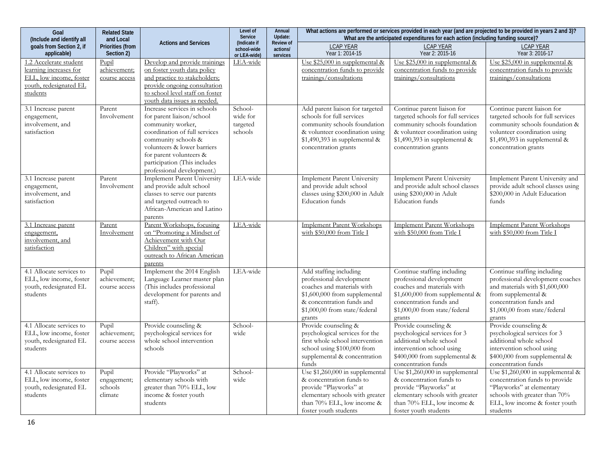| Goal<br>(Include and identify all                                                                                 | <b>Actions and Services</b>                | Level of<br>Service<br>(Indicate if                                                                                                                                                                                                                            | Annual<br>Update:<br><b>Review of</b>      | What actions are performed or services provided in each year (and are projected to be provided in years 2 and 3)?<br>What are the anticipated expenditures for each action (including funding source)? |                                                                                                                                                                                           |                                                                                                                                                                                                |                                                                                                                                                                                                |
|-------------------------------------------------------------------------------------------------------------------|--------------------------------------------|----------------------------------------------------------------------------------------------------------------------------------------------------------------------------------------------------------------------------------------------------------------|--------------------------------------------|--------------------------------------------------------------------------------------------------------------------------------------------------------------------------------------------------------|-------------------------------------------------------------------------------------------------------------------------------------------------------------------------------------------|------------------------------------------------------------------------------------------------------------------------------------------------------------------------------------------------|------------------------------------------------------------------------------------------------------------------------------------------------------------------------------------------------|
| goals from Section 2, if<br>applicable)                                                                           | <b>Priorities (from</b><br>Section 2)      |                                                                                                                                                                                                                                                                | school-wide<br>or LEA-wide)                | actions/<br>services                                                                                                                                                                                   | <b>LCAP YEAR</b><br>Year 1: 2014-15                                                                                                                                                       | <b>LCAP YEAR</b><br>Year 2: 2015-16                                                                                                                                                            | <b>LCAP YEAR</b><br>Year 3: 2016-17                                                                                                                                                            |
| 1.2 Accelerate student<br>learning increases for<br>ELL, low income, foster<br>youth, redesignated EL<br>students | Pupil<br>achievement;<br>course access     | Develop and provide trainings<br>on foster youth data policy<br>and practice to stakeholders;<br>provide ongoing consultation<br>to school level staff on foster<br>youth data issues as needed.                                                               | LEA-wide                                   |                                                                                                                                                                                                        | Use $$25,000$ in supplemental &<br>concentration funds to provide<br>trainings/consultations                                                                                              | Use $$25,000$ in supplemental &<br>concentration funds to provide<br>trainings/consultations                                                                                                   | Use $$25,000$ in supplemental &<br>concentration funds to provide<br>trainings/consultations                                                                                                   |
| 3.1 Increase parent<br>engagement,<br>involvement, and<br>satisfaction                                            | Parent<br>Involvement                      | Increase services in schools<br>for parent liaison/school<br>community worker,<br>coordination of full services<br>community schools &<br>volunteers & lower barriers<br>for parent volunteers &<br>participation (This includes<br>professional development.) | School-<br>wide for<br>targeted<br>schools |                                                                                                                                                                                                        | Add parent liaison for targeted<br>schools for full services<br>community schools foundation<br>& volunteer coordination using<br>$$1,490,393$ in supplemental &<br>concentration grants  | Continue parent liaison for<br>targeted schools for full services<br>community schools foundation<br>& volunteer coordination using<br>\$1,490,393 in supplemental &<br>concentration grants   | Continue parent liaison for<br>targeted schools for full services<br>community schools foundation &<br>volunteer coordination using<br>$$1,490,393$ in supplemental &<br>concentration grants  |
| 3.1 Increase parent<br>engagement,<br>involvement, and<br>satisfaction                                            | Parent<br>Involvement                      | <b>Implement Parent University</b><br>and provide adult school<br>classes to serve our parents<br>and targeted outreach to<br>African-American and Latino<br>parents                                                                                           | LEA-wide                                   |                                                                                                                                                                                                        | Implement Parent University<br>and provide adult school<br>classes using \$200,000 in Adult<br><b>Education</b> funds                                                                     | Implement Parent University<br>and provide adult school classes<br>using \$200,000 in Adult<br><b>Education</b> funds                                                                          | Implement Parent University and<br>provide adult school classes using<br>\$200,000 in Adult Education<br>funds                                                                                 |
| 3.1 Increase parent<br>engagement,<br>involvement, and<br>satisfaction                                            | Parent<br>Involvement                      | Parent Workshops, focusing<br>on "Promoting a Mindset of<br>Achievement with Our<br>Children" with special<br>outreach to African American<br>parents                                                                                                          | LEA-wide                                   |                                                                                                                                                                                                        | <b>Implement Parent Workshops</b><br>with \$50,000 from Title I                                                                                                                           | <b>Implement Parent Workshops</b><br>with \$50,000 from Title I                                                                                                                                | <b>Implement Parent Workshops</b><br>with \$50,000 from Title I                                                                                                                                |
| 4.1 Allocate services to<br>ELL, low income, foster<br>youth, redesignated EL<br>students                         | Pupil<br>achievement;<br>course access     | Implement the 2014 English<br>Language Learner master plan<br>(This includes professional<br>development for parents and<br>staff).                                                                                                                            | LEA-wide                                   |                                                                                                                                                                                                        | Add staffing including<br>professional development<br>coaches and materials with<br>\$1,600,000 from supplemental<br>& concentration funds and<br>\$1,000,00 from state/federal<br>grants | Continue staffing including<br>professional development<br>coaches and materials with<br>\$1,600,000 from supplemental &<br>concentration funds and<br>\$1,000,00 from state/federal<br>grants | Continue staffing including<br>professional development coaches<br>and materials with \$1,600,000<br>from supplemental &<br>concentration funds and<br>\$1,000,00 from state/federal<br>grants |
| 4.1 Allocate services to<br>ELL, low income, foster<br>youth, redesignated EL<br>students                         | Pupil<br>achievement;<br>course access     | Provide counseling &<br>psychological services for<br>whole school intervention<br>schools                                                                                                                                                                     | School<br>wide                             |                                                                                                                                                                                                        | Provide counseling &<br>psychological services for the<br>first whole school intervention<br>school using \$100,000 from<br>supplemental & concentration<br>funds                         | Provide counseling &<br>psychological services for 3<br>additional whole school<br>intervention school using<br>\$400,000 from supplemental &<br>concentration funds                           | Provide counseling &<br>psychological services for 3<br>additional whole school<br>intervention school using<br>\$400,000 from supplemental &<br>concentration funds                           |
| 4.1 Allocate services to<br>ELL, low income, foster<br>youth, redesignated EL<br>students                         | Pupil<br>engagement;<br>schools<br>climate | Provide "Playworks" at<br>elementary schools with<br>greater than 70% ELL, low<br>income & foster youth<br>students                                                                                                                                            | School-<br>wide                            |                                                                                                                                                                                                        | Use \$1,260,000 in supplemental<br>& concentration funds to<br>provide "Playworks" at<br>elementary schools with greater<br>than 70% ELL, low income &<br>foster youth students           | Use \$1,260,000 in supplemental<br>& concentration funds to<br>provide "Playworks" at<br>elementary schools with greater<br>than 70% ELL, low income &<br>foster youth students                | Use $$1,260,000$ in supplemental &<br>concentration funds to provide<br>"Playworks" at elementary<br>schools with greater than 70%<br>ELL, low income & foster youth<br>students               |